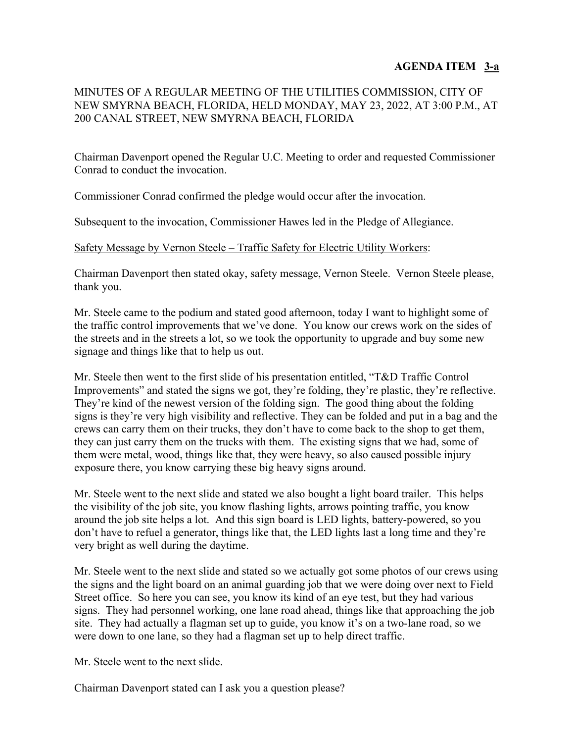# **AGENDA ITEM 3-a**

# MINUTES OF A REGULAR MEETING OF THE UTILITIES COMMISSION, CITY OF NEW SMYRNA BEACH, FLORIDA, HELD MONDAY, MAY 23, 2022, AT 3:00 P.M., AT 200 CANAL STREET, NEW SMYRNA BEACH, FLORIDA

Chairman Davenport opened the Regular U.C. Meeting to order and requested Commissioner Conrad to conduct the invocation.

Commissioner Conrad confirmed the pledge would occur after the invocation.

Subsequent to the invocation, Commissioner Hawes led in the Pledge of Allegiance.

#### Safety Message by Vernon Steele – Traffic Safety for Electric Utility Workers:

Chairman Davenport then stated okay, safety message, Vernon Steele. Vernon Steele please, thank you.

Mr. Steele came to the podium and stated good afternoon, today I want to highlight some of the traffic control improvements that we've done. You know our crews work on the sides of the streets and in the streets a lot, so we took the opportunity to upgrade and buy some new signage and things like that to help us out.

Mr. Steele then went to the first slide of his presentation entitled, "T&D Traffic Control Improvements" and stated the signs we got, they're folding, they're plastic, they're reflective. They're kind of the newest version of the folding sign. The good thing about the folding signs is they're very high visibility and reflective. They can be folded and put in a bag and the crews can carry them on their trucks, they don't have to come back to the shop to get them, they can just carry them on the trucks with them. The existing signs that we had, some of them were metal, wood, things like that, they were heavy, so also caused possible injury exposure there, you know carrying these big heavy signs around.

Mr. Steele went to the next slide and stated we also bought a light board trailer. This helps the visibility of the job site, you know flashing lights, arrows pointing traffic, you know around the job site helps a lot. And this sign board is LED lights, battery-powered, so you don't have to refuel a generator, things like that, the LED lights last a long time and they're very bright as well during the daytime.

Mr. Steele went to the next slide and stated so we actually got some photos of our crews using the signs and the light board on an animal guarding job that we were doing over next to Field Street office. So here you can see, you know its kind of an eye test, but they had various signs. They had personnel working, one lane road ahead, things like that approaching the job site. They had actually a flagman set up to guide, you know it's on a two-lane road, so we were down to one lane, so they had a flagman set up to help direct traffic.

Mr. Steele went to the next slide.

Chairman Davenport stated can I ask you a question please?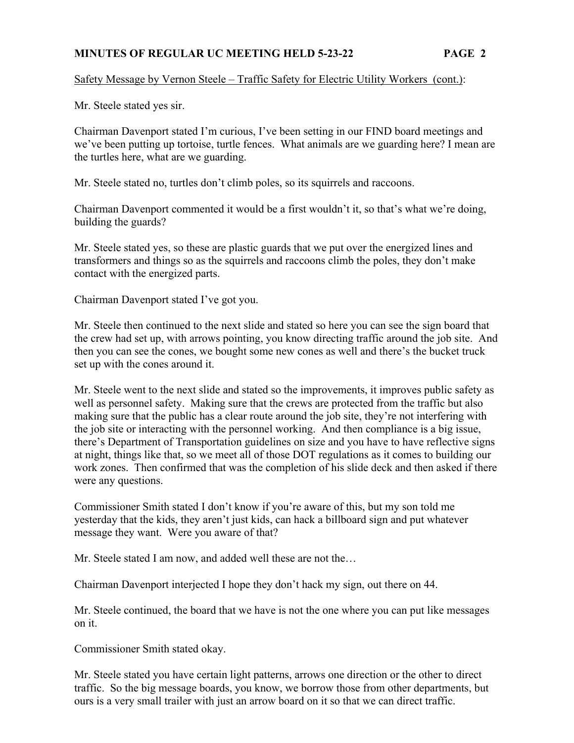## Safety Message by Vernon Steele – Traffic Safety for Electric Utility Workers (cont.):

Mr. Steele stated yes sir.

Chairman Davenport stated I'm curious, I've been setting in our FIND board meetings and we've been putting up tortoise, turtle fences. What animals are we guarding here? I mean are the turtles here, what are we guarding.

Mr. Steele stated no, turtles don't climb poles, so its squirrels and raccoons.

Chairman Davenport commented it would be a first wouldn't it, so that's what we're doing, building the guards?

Mr. Steele stated yes, so these are plastic guards that we put over the energized lines and transformers and things so as the squirrels and raccoons climb the poles, they don't make contact with the energized parts.

Chairman Davenport stated I've got you.

Mr. Steele then continued to the next slide and stated so here you can see the sign board that the crew had set up, with arrows pointing, you know directing traffic around the job site. And then you can see the cones, we bought some new cones as well and there's the bucket truck set up with the cones around it.

Mr. Steele went to the next slide and stated so the improvements, it improves public safety as well as personnel safety. Making sure that the crews are protected from the traffic but also making sure that the public has a clear route around the job site, they're not interfering with the job site or interacting with the personnel working. And then compliance is a big issue, there's Department of Transportation guidelines on size and you have to have reflective signs at night, things like that, so we meet all of those DOT regulations as it comes to building our work zones. Then confirmed that was the completion of his slide deck and then asked if there were any questions.

Commissioner Smith stated I don't know if you're aware of this, but my son told me yesterday that the kids, they aren't just kids, can hack a billboard sign and put whatever message they want. Were you aware of that?

Mr. Steele stated I am now, and added well these are not the…

Chairman Davenport interjected I hope they don't hack my sign, out there on 44.

Mr. Steele continued, the board that we have is not the one where you can put like messages on it.

Commissioner Smith stated okay.

Mr. Steele stated you have certain light patterns, arrows one direction or the other to direct traffic. So the big message boards, you know, we borrow those from other departments, but ours is a very small trailer with just an arrow board on it so that we can direct traffic.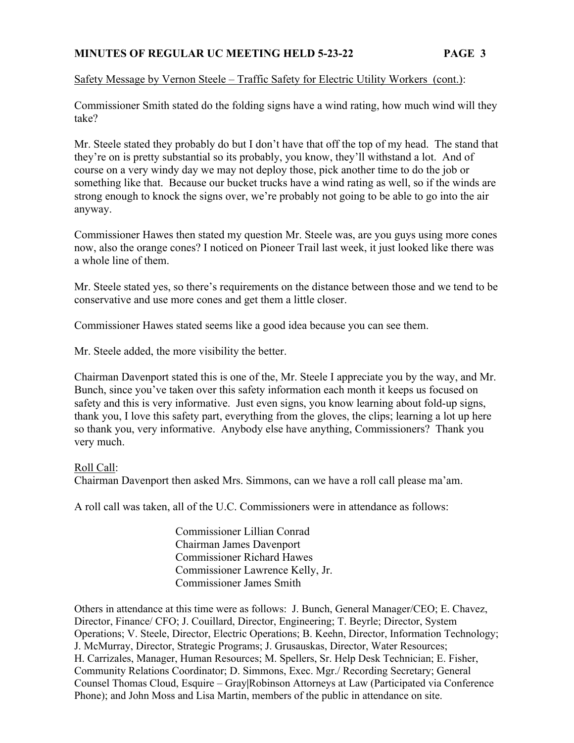## Safety Message by Vernon Steele – Traffic Safety for Electric Utility Workers (cont.):

Commissioner Smith stated do the folding signs have a wind rating, how much wind will they take?

Mr. Steele stated they probably do but I don't have that off the top of my head. The stand that they're on is pretty substantial so its probably, you know, they'll withstand a lot. And of course on a very windy day we may not deploy those, pick another time to do the job or something like that. Because our bucket trucks have a wind rating as well, so if the winds are strong enough to knock the signs over, we're probably not going to be able to go into the air anyway.

Commissioner Hawes then stated my question Mr. Steele was, are you guys using more cones now, also the orange cones? I noticed on Pioneer Trail last week, it just looked like there was a whole line of them.

Mr. Steele stated yes, so there's requirements on the distance between those and we tend to be conservative and use more cones and get them a little closer.

Commissioner Hawes stated seems like a good idea because you can see them.

Mr. Steele added, the more visibility the better.

Chairman Davenport stated this is one of the, Mr. Steele I appreciate you by the way, and Mr. Bunch, since you've taken over this safety information each month it keeps us focused on safety and this is very informative. Just even signs, you know learning about fold-up signs, thank you, I love this safety part, everything from the gloves, the clips; learning a lot up here so thank you, very informative. Anybody else have anything, Commissioners? Thank you very much.

#### Roll Call:

Chairman Davenport then asked Mrs. Simmons, can we have a roll call please ma'am.

A roll call was taken, all of the U.C. Commissioners were in attendance as follows:

 Commissioner Lillian Conrad Chairman James Davenport Commissioner Richard Hawes Commissioner Lawrence Kelly, Jr. Commissioner James Smith

Others in attendance at this time were as follows: J. Bunch, General Manager/CEO; E. Chavez, Director, Finance/ CFO; J. Couillard, Director, Engineering; T. Beyrle; Director, System Operations; V. Steele, Director, Electric Operations; B. Keehn, Director, Information Technology; J. McMurray, Director, Strategic Programs; J. Grusauskas, Director, Water Resources; H. Carrizales, Manager, Human Resources; M. Spellers, Sr. Help Desk Technician; E. Fisher, Community Relations Coordinator; D. Simmons, Exec. Mgr./ Recording Secretary; General Counsel Thomas Cloud, Esquire – Gray**|**Robinson Attorneys at Law (Participated via Conference Phone); and John Moss and Lisa Martin, members of the public in attendance on site.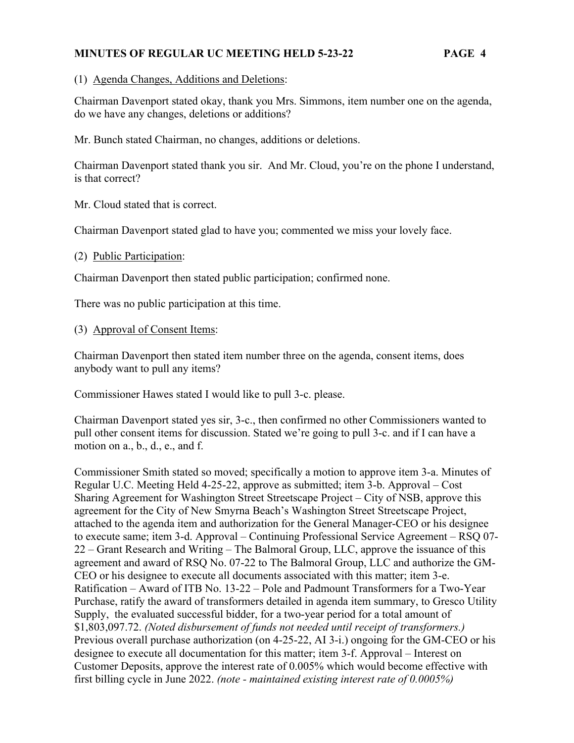(1) Agenda Changes, Additions and Deletions:

Chairman Davenport stated okay, thank you Mrs. Simmons, item number one on the agenda, do we have any changes, deletions or additions?

Mr. Bunch stated Chairman, no changes, additions or deletions.

Chairman Davenport stated thank you sir. And Mr. Cloud, you're on the phone I understand, is that correct?

Mr. Cloud stated that is correct.

Chairman Davenport stated glad to have you; commented we miss your lovely face.

(2) Public Participation:

Chairman Davenport then stated public participation; confirmed none.

There was no public participation at this time.

(3) Approval of Consent Items:

Chairman Davenport then stated item number three on the agenda, consent items, does anybody want to pull any items?

Commissioner Hawes stated I would like to pull 3-c. please.

Chairman Davenport stated yes sir, 3-c., then confirmed no other Commissioners wanted to pull other consent items for discussion. Stated we're going to pull 3-c. and if I can have a motion on a., b., d., e., and f.

Commissioner Smith stated so moved; specifically a motion to approve item 3-a. Minutes of Regular U.C. Meeting Held 4-25-22, approve as submitted; item 3-b. Approval – Cost Sharing Agreement for Washington Street Streetscape Project – City of NSB, approve this agreement for the City of New Smyrna Beach's Washington Street Streetscape Project, attached to the agenda item and authorization for the General Manager-CEO or his designee to execute same; item 3-d. Approval – Continuing Professional Service Agreement – RSQ 07- 22 – Grant Research and Writing – The Balmoral Group, LLC, approve the issuance of this agreement and award of RSQ No. 07-22 to The Balmoral Group, LLC and authorize the GM-CEO or his designee to execute all documents associated with this matter; item 3-e. Ratification – Award of ITB No. 13-22 – Pole and Padmount Transformers for a Two-Year Purchase, ratify the award of transformers detailed in agenda item summary, to Gresco Utility Supply, the evaluated successful bidder, for a two-year period for a total amount of \$1,803,097.72. *(Noted disbursement of funds not needed until receipt of transformers.)* Previous overall purchase authorization (on 4-25-22, AI 3-i.) ongoing for the GM-CEO or his designee to execute all documentation for this matter; item 3-f. Approval – Interest on Customer Deposits, approve the interest rate of 0.005% which would become effective with first billing cycle in June 2022. *(note - maintained existing interest rate of 0.0005%)*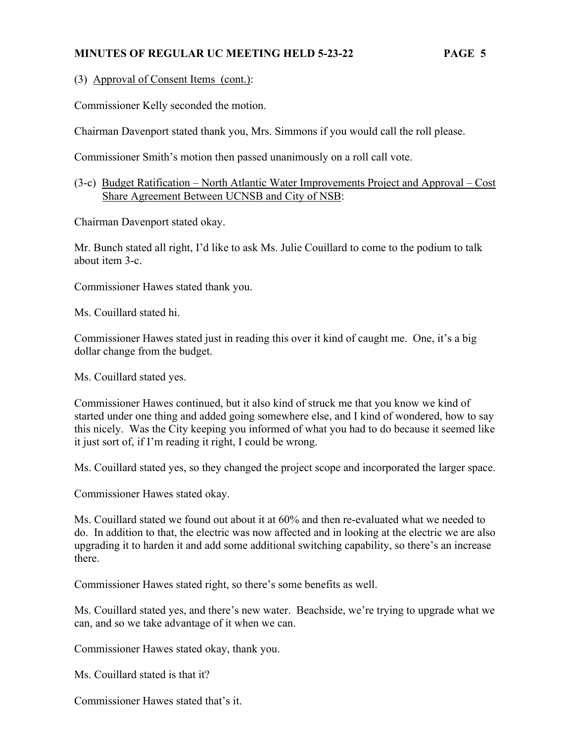(3) Approval of Consent Items (cont.):

Commissioner Kelly seconded the motion.

Chairman Davenport stated thank you, Mrs. Simmons if you would call the roll please.

Commissioner Smith's motion then passed unanimously on a roll call vote.

(3-c) Budget Ratification – North Atlantic Water Improvements Project and Approval – Cost Share Agreement Between UCNSB and City of NSB:

Chairman Davenport stated okay.

Mr. Bunch stated all right, I'd like to ask Ms. Julie Couillard to come to the podium to talk about item 3-c.

Commissioner Hawes stated thank you.

Ms. Couillard stated hi.

Commissioner Hawes stated just in reading this over it kind of caught me. One, it's a big dollar change from the budget.

Ms. Couillard stated yes.

Commissioner Hawes continued, but it also kind of struck me that you know we kind of started under one thing and added going somewhere else, and I kind of wondered, how to say this nicely. Was the City keeping you informed of what you had to do because it seemed like it just sort of, if I'm reading it right, I could be wrong.

Ms. Couillard stated yes, so they changed the project scope and incorporated the larger space.

Commissioner Hawes stated okay.

Ms. Couillard stated we found out about it at 60% and then re-evaluated what we needed to do. In addition to that, the electric was now affected and in looking at the electric we are also upgrading it to harden it and add some additional switching capability, so there's an increase there.

Commissioner Hawes stated right, so there's some benefits as well.

Ms. Couillard stated yes, and there's new water. Beachside, we're trying to upgrade what we can, and so we take advantage of it when we can.

Commissioner Hawes stated okay, thank you.

Ms. Couillard stated is that it?

Commissioner Hawes stated that's it.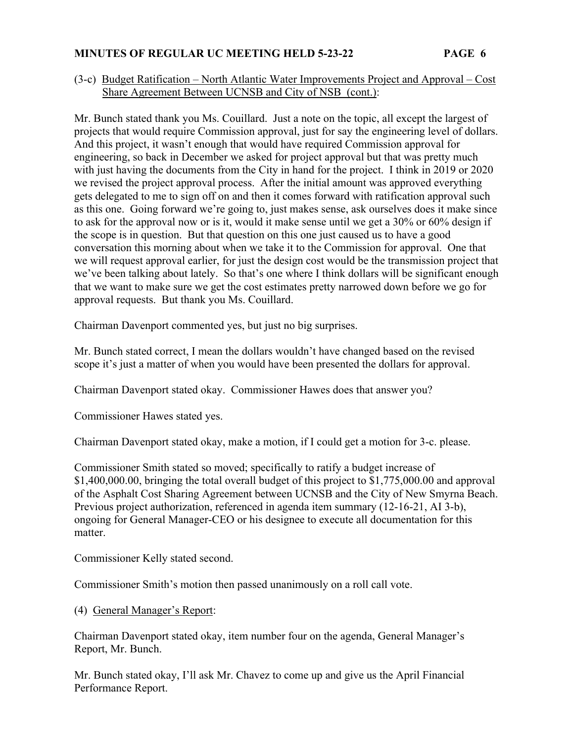## (3-c) Budget Ratification – North Atlantic Water Improvements Project and Approval – Cost Share Agreement Between UCNSB and City of NSB (cont.):

Mr. Bunch stated thank you Ms. Couillard. Just a note on the topic, all except the largest of projects that would require Commission approval, just for say the engineering level of dollars. And this project, it wasn't enough that would have required Commission approval for engineering, so back in December we asked for project approval but that was pretty much with just having the documents from the City in hand for the project. I think in 2019 or 2020 we revised the project approval process. After the initial amount was approved everything gets delegated to me to sign off on and then it comes forward with ratification approval such as this one. Going forward we're going to, just makes sense, ask ourselves does it make since to ask for the approval now or is it, would it make sense until we get a 30% or 60% design if the scope is in question. But that question on this one just caused us to have a good conversation this morning about when we take it to the Commission for approval. One that we will request approval earlier, for just the design cost would be the transmission project that we've been talking about lately. So that's one where I think dollars will be significant enough that we want to make sure we get the cost estimates pretty narrowed down before we go for approval requests. But thank you Ms. Couillard.

Chairman Davenport commented yes, but just no big surprises.

Mr. Bunch stated correct, I mean the dollars wouldn't have changed based on the revised scope it's just a matter of when you would have been presented the dollars for approval.

Chairman Davenport stated okay. Commissioner Hawes does that answer you?

Commissioner Hawes stated yes.

Chairman Davenport stated okay, make a motion, if I could get a motion for 3-c. please.

Commissioner Smith stated so moved; specifically to ratify a budget increase of \$1,400,000.00, bringing the total overall budget of this project to \$1,775,000.00 and approval of the Asphalt Cost Sharing Agreement between UCNSB and the City of New Smyrna Beach. Previous project authorization, referenced in agenda item summary (12-16-21, AI 3-b), ongoing for General Manager-CEO or his designee to execute all documentation for this matter.

Commissioner Kelly stated second.

Commissioner Smith's motion then passed unanimously on a roll call vote.

# (4) General Manager's Report:

Chairman Davenport stated okay, item number four on the agenda, General Manager's Report, Mr. Bunch.

Mr. Bunch stated okay, I'll ask Mr. Chavez to come up and give us the April Financial Performance Report.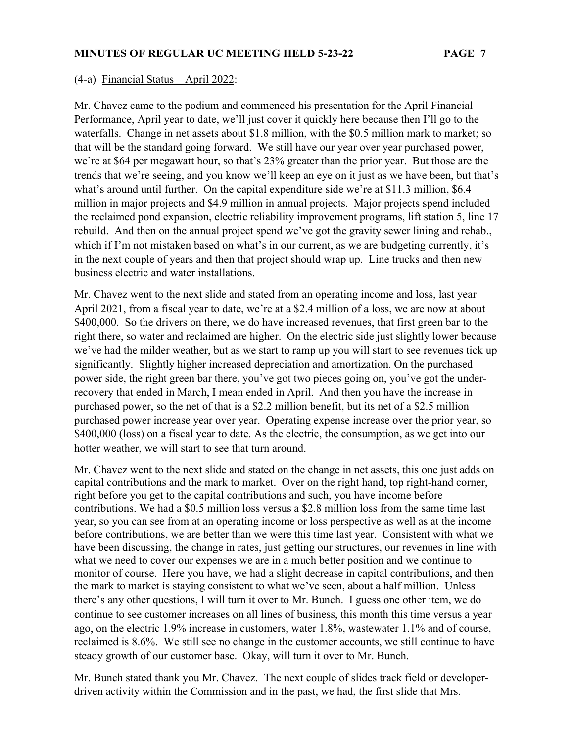#### (4-a) Financial Status – April 2022:

Mr. Chavez came to the podium and commenced his presentation for the April Financial Performance, April year to date, we'll just cover it quickly here because then I'll go to the waterfalls. Change in net assets about \$1.8 million, with the \$0.5 million mark to market; so that will be the standard going forward. We still have our year over year purchased power, we're at \$64 per megawatt hour, so that's 23% greater than the prior year. But those are the trends that we're seeing, and you know we'll keep an eye on it just as we have been, but that's what's around until further. On the capital expenditure side we're at \$11.3 million, \$6.4 million in major projects and \$4.9 million in annual projects. Major projects spend included the reclaimed pond expansion, electric reliability improvement programs, lift station 5, line 17 rebuild. And then on the annual project spend we've got the gravity sewer lining and rehab., which if I'm not mistaken based on what's in our current, as we are budgeting currently, it's in the next couple of years and then that project should wrap up. Line trucks and then new business electric and water installations.

Mr. Chavez went to the next slide and stated from an operating income and loss, last year April 2021, from a fiscal year to date, we're at a \$2.4 million of a loss, we are now at about \$400,000. So the drivers on there, we do have increased revenues, that first green bar to the right there, so water and reclaimed are higher. On the electric side just slightly lower because we've had the milder weather, but as we start to ramp up you will start to see revenues tick up significantly. Slightly higher increased depreciation and amortization. On the purchased power side, the right green bar there, you've got two pieces going on, you've got the underrecovery that ended in March, I mean ended in April. And then you have the increase in purchased power, so the net of that is a \$2.2 million benefit, but its net of a \$2.5 million purchased power increase year over year. Operating expense increase over the prior year, so \$400,000 (loss) on a fiscal year to date. As the electric, the consumption, as we get into our hotter weather, we will start to see that turn around.

Mr. Chavez went to the next slide and stated on the change in net assets, this one just adds on capital contributions and the mark to market. Over on the right hand, top right-hand corner, right before you get to the capital contributions and such, you have income before contributions. We had a \$0.5 million loss versus a \$2.8 million loss from the same time last year, so you can see from at an operating income or loss perspective as well as at the income before contributions, we are better than we were this time last year. Consistent with what we have been discussing, the change in rates, just getting our structures, our revenues in line with what we need to cover our expenses we are in a much better position and we continue to monitor of course. Here you have, we had a slight decrease in capital contributions, and then the mark to market is staying consistent to what we've seen, about a half million. Unless there's any other questions, I will turn it over to Mr. Bunch. I guess one other item, we do continue to see customer increases on all lines of business, this month this time versus a year ago, on the electric 1.9% increase in customers, water 1.8%, wastewater 1.1% and of course, reclaimed is 8.6%. We still see no change in the customer accounts, we still continue to have steady growth of our customer base. Okay, will turn it over to Mr. Bunch.

Mr. Bunch stated thank you Mr. Chavez. The next couple of slides track field or developerdriven activity within the Commission and in the past, we had, the first slide that Mrs.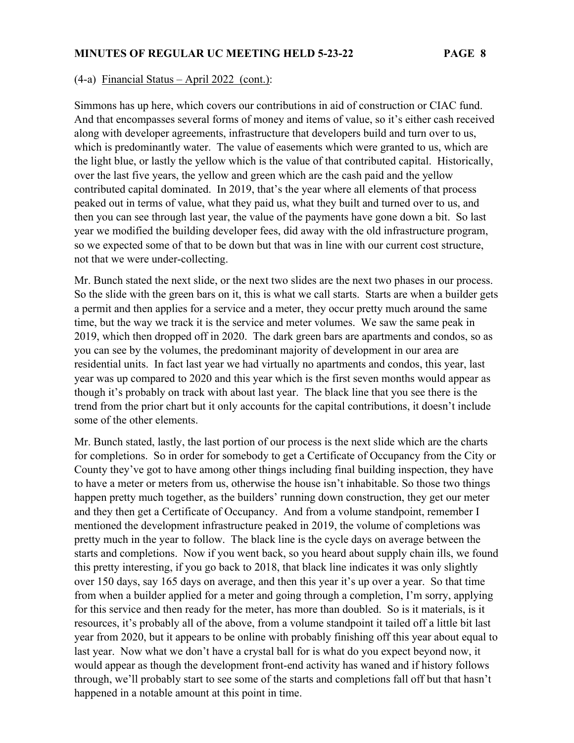#### (4-a) Financial Status – April 2022 (cont.):

Simmons has up here, which covers our contributions in aid of construction or CIAC fund. And that encompasses several forms of money and items of value, so it's either cash received along with developer agreements, infrastructure that developers build and turn over to us, which is predominantly water. The value of easements which were granted to us, which are the light blue, or lastly the yellow which is the value of that contributed capital. Historically, over the last five years, the yellow and green which are the cash paid and the yellow contributed capital dominated. In 2019, that's the year where all elements of that process peaked out in terms of value, what they paid us, what they built and turned over to us, and then you can see through last year, the value of the payments have gone down a bit. So last year we modified the building developer fees, did away with the old infrastructure program, so we expected some of that to be down but that was in line with our current cost structure, not that we were under-collecting.

Mr. Bunch stated the next slide, or the next two slides are the next two phases in our process. So the slide with the green bars on it, this is what we call starts. Starts are when a builder gets a permit and then applies for a service and a meter, they occur pretty much around the same time, but the way we track it is the service and meter volumes. We saw the same peak in 2019, which then dropped off in 2020. The dark green bars are apartments and condos, so as you can see by the volumes, the predominant majority of development in our area are residential units. In fact last year we had virtually no apartments and condos, this year, last year was up compared to 2020 and this year which is the first seven months would appear as though it's probably on track with about last year. The black line that you see there is the trend from the prior chart but it only accounts for the capital contributions, it doesn't include some of the other elements.

Mr. Bunch stated, lastly, the last portion of our process is the next slide which are the charts for completions. So in order for somebody to get a Certificate of Occupancy from the City or County they've got to have among other things including final building inspection, they have to have a meter or meters from us, otherwise the house isn't inhabitable. So those two things happen pretty much together, as the builders' running down construction, they get our meter and they then get a Certificate of Occupancy. And from a volume standpoint, remember I mentioned the development infrastructure peaked in 2019, the volume of completions was pretty much in the year to follow. The black line is the cycle days on average between the starts and completions. Now if you went back, so you heard about supply chain ills, we found this pretty interesting, if you go back to 2018, that black line indicates it was only slightly over 150 days, say 165 days on average, and then this year it's up over a year. So that time from when a builder applied for a meter and going through a completion, I'm sorry, applying for this service and then ready for the meter, has more than doubled. So is it materials, is it resources, it's probably all of the above, from a volume standpoint it tailed off a little bit last year from 2020, but it appears to be online with probably finishing off this year about equal to last year. Now what we don't have a crystal ball for is what do you expect beyond now, it would appear as though the development front-end activity has waned and if history follows through, we'll probably start to see some of the starts and completions fall off but that hasn't happened in a notable amount at this point in time.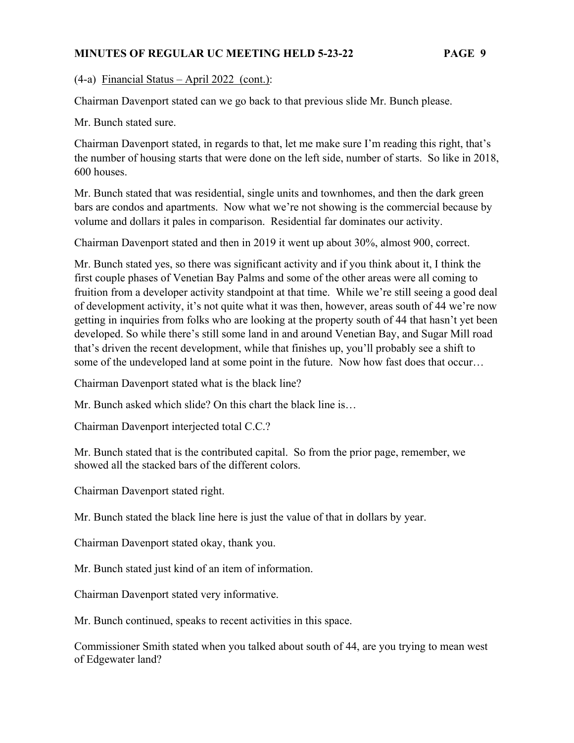(4-a) Financial Status – April 2022 (cont.):

Chairman Davenport stated can we go back to that previous slide Mr. Bunch please.

Mr. Bunch stated sure.

Chairman Davenport stated, in regards to that, let me make sure I'm reading this right, that's the number of housing starts that were done on the left side, number of starts. So like in 2018, 600 houses.

Mr. Bunch stated that was residential, single units and townhomes, and then the dark green bars are condos and apartments. Now what we're not showing is the commercial because by volume and dollars it pales in comparison. Residential far dominates our activity.

Chairman Davenport stated and then in 2019 it went up about 30%, almost 900, correct.

Mr. Bunch stated yes, so there was significant activity and if you think about it, I think the first couple phases of Venetian Bay Palms and some of the other areas were all coming to fruition from a developer activity standpoint at that time. While we're still seeing a good deal of development activity, it's not quite what it was then, however, areas south of 44 we're now getting in inquiries from folks who are looking at the property south of 44 that hasn't yet been developed. So while there's still some land in and around Venetian Bay, and Sugar Mill road that's driven the recent development, while that finishes up, you'll probably see a shift to some of the undeveloped land at some point in the future. Now how fast does that occur…

Chairman Davenport stated what is the black line?

Mr. Bunch asked which slide? On this chart the black line is…

Chairman Davenport interjected total C.C.?

Mr. Bunch stated that is the contributed capital. So from the prior page, remember, we showed all the stacked bars of the different colors.

Chairman Davenport stated right.

Mr. Bunch stated the black line here is just the value of that in dollars by year.

Chairman Davenport stated okay, thank you.

Mr. Bunch stated just kind of an item of information.

Chairman Davenport stated very informative.

Mr. Bunch continued, speaks to recent activities in this space.

Commissioner Smith stated when you talked about south of 44, are you trying to mean west of Edgewater land?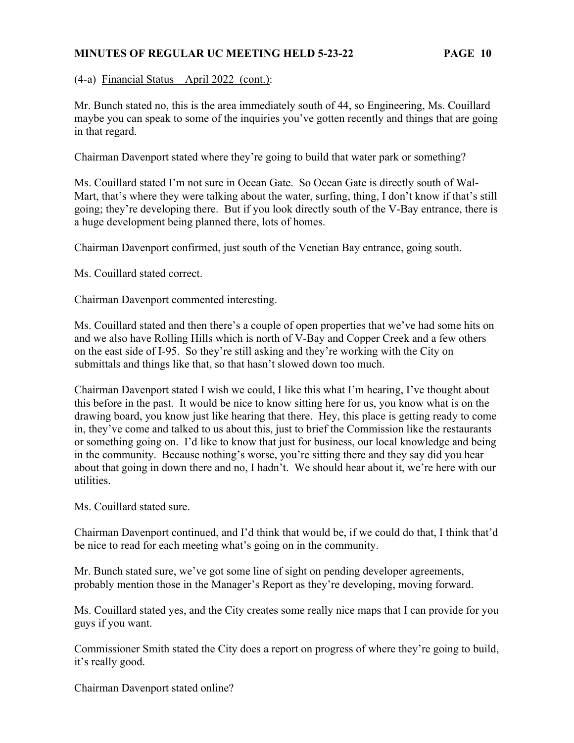(4-a) Financial Status – April 2022 (cont.):

Mr. Bunch stated no, this is the area immediately south of 44, so Engineering, Ms. Couillard maybe you can speak to some of the inquiries you've gotten recently and things that are going in that regard.

Chairman Davenport stated where they're going to build that water park or something?

Ms. Couillard stated I'm not sure in Ocean Gate. So Ocean Gate is directly south of Wal-Mart, that's where they were talking about the water, surfing, thing, I don't know if that's still going; they're developing there. But if you look directly south of the V-Bay entrance, there is a huge development being planned there, lots of homes.

Chairman Davenport confirmed, just south of the Venetian Bay entrance, going south.

Ms. Couillard stated correct.

Chairman Davenport commented interesting.

Ms. Couillard stated and then there's a couple of open properties that we've had some hits on and we also have Rolling Hills which is north of V-Bay and Copper Creek and a few others on the east side of I-95. So they're still asking and they're working with the City on submittals and things like that, so that hasn't slowed down too much.

Chairman Davenport stated I wish we could, I like this what I'm hearing, I've thought about this before in the past. It would be nice to know sitting here for us, you know what is on the drawing board, you know just like hearing that there. Hey, this place is getting ready to come in, they've come and talked to us about this, just to brief the Commission like the restaurants or something going on. I'd like to know that just for business, our local knowledge and being in the community. Because nothing's worse, you're sitting there and they say did you hear about that going in down there and no, I hadn't. We should hear about it, we're here with our utilities.

Ms. Couillard stated sure.

Chairman Davenport continued, and I'd think that would be, if we could do that, I think that'd be nice to read for each meeting what's going on in the community.

Mr. Bunch stated sure, we've got some line of sight on pending developer agreements, probably mention those in the Manager's Report as they're developing, moving forward.

Ms. Couillard stated yes, and the City creates some really nice maps that I can provide for you guys if you want.

Commissioner Smith stated the City does a report on progress of where they're going to build, it's really good.

Chairman Davenport stated online?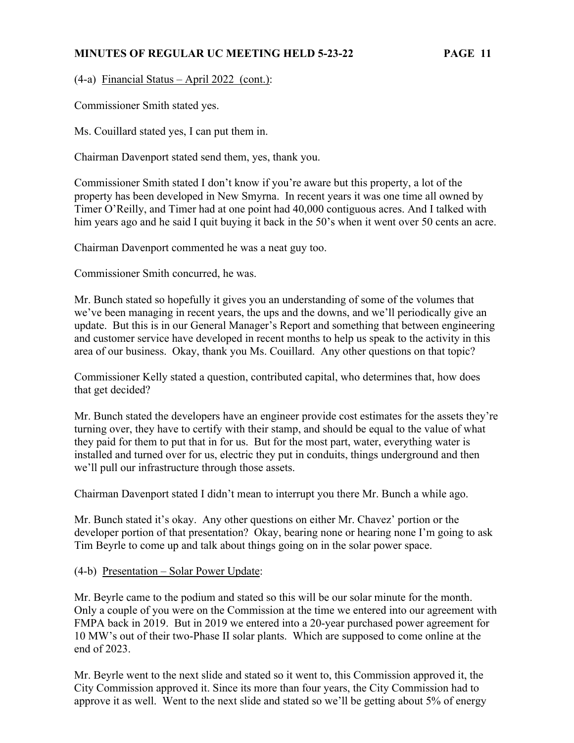(4-a) Financial Status – April 2022 (cont.):

Commissioner Smith stated yes.

Ms. Couillard stated yes, I can put them in.

Chairman Davenport stated send them, yes, thank you.

Commissioner Smith stated I don't know if you're aware but this property, a lot of the property has been developed in New Smyrna. In recent years it was one time all owned by Timer O'Reilly, and Timer had at one point had 40,000 contiguous acres. And I talked with him years ago and he said I quit buying it back in the 50's when it went over 50 cents an acre.

Chairman Davenport commented he was a neat guy too.

Commissioner Smith concurred, he was.

Mr. Bunch stated so hopefully it gives you an understanding of some of the volumes that we've been managing in recent years, the ups and the downs, and we'll periodically give an update. But this is in our General Manager's Report and something that between engineering and customer service have developed in recent months to help us speak to the activity in this area of our business. Okay, thank you Ms. Couillard. Any other questions on that topic?

Commissioner Kelly stated a question, contributed capital, who determines that, how does that get decided?

Mr. Bunch stated the developers have an engineer provide cost estimates for the assets they're turning over, they have to certify with their stamp, and should be equal to the value of what they paid for them to put that in for us. But for the most part, water, everything water is installed and turned over for us, electric they put in conduits, things underground and then we'll pull our infrastructure through those assets.

Chairman Davenport stated I didn't mean to interrupt you there Mr. Bunch a while ago.

Mr. Bunch stated it's okay. Any other questions on either Mr. Chavez' portion or the developer portion of that presentation? Okay, bearing none or hearing none I'm going to ask Tim Beyrle to come up and talk about things going on in the solar power space.

(4-b) Presentation – Solar Power Update:

Mr. Beyrle came to the podium and stated so this will be our solar minute for the month. Only a couple of you were on the Commission at the time we entered into our agreement with FMPA back in 2019. But in 2019 we entered into a 20-year purchased power agreement for 10 MW's out of their two-Phase II solar plants. Which are supposed to come online at the end of 2023.

Mr. Beyrle went to the next slide and stated so it went to, this Commission approved it, the City Commission approved it. Since its more than four years, the City Commission had to approve it as well. Went to the next slide and stated so we'll be getting about 5% of energy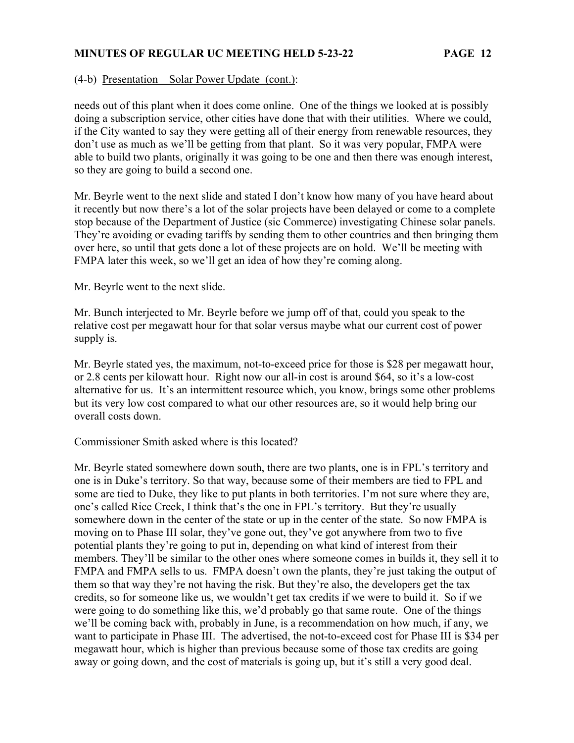#### (4-b) Presentation – Solar Power Update (cont.):

needs out of this plant when it does come online. One of the things we looked at is possibly doing a subscription service, other cities have done that with their utilities. Where we could, if the City wanted to say they were getting all of their energy from renewable resources, they don't use as much as we'll be getting from that plant. So it was very popular, FMPA were able to build two plants, originally it was going to be one and then there was enough interest, so they are going to build a second one.

Mr. Beyrle went to the next slide and stated I don't know how many of you have heard about it recently but now there's a lot of the solar projects have been delayed or come to a complete stop because of the Department of Justice (sic Commerce) investigating Chinese solar panels. They're avoiding or evading tariffs by sending them to other countries and then bringing them over here, so until that gets done a lot of these projects are on hold. We'll be meeting with FMPA later this week, so we'll get an idea of how they're coming along.

Mr. Beyrle went to the next slide.

Mr. Bunch interjected to Mr. Beyrle before we jump off of that, could you speak to the relative cost per megawatt hour for that solar versus maybe what our current cost of power supply is.

Mr. Beyrle stated yes, the maximum, not-to-exceed price for those is \$28 per megawatt hour, or 2.8 cents per kilowatt hour. Right now our all-in cost is around \$64, so it's a low-cost alternative for us. It's an intermittent resource which, you know, brings some other problems but its very low cost compared to what our other resources are, so it would help bring our overall costs down.

Commissioner Smith asked where is this located?

Mr. Beyrle stated somewhere down south, there are two plants, one is in FPL's territory and one is in Duke's territory. So that way, because some of their members are tied to FPL and some are tied to Duke, they like to put plants in both territories. I'm not sure where they are, one's called Rice Creek, I think that's the one in FPL's territory. But they're usually somewhere down in the center of the state or up in the center of the state. So now FMPA is moving on to Phase III solar, they've gone out, they've got anywhere from two to five potential plants they're going to put in, depending on what kind of interest from their members. They'll be similar to the other ones where someone comes in builds it, they sell it to FMPA and FMPA sells to us. FMPA doesn't own the plants, they're just taking the output of them so that way they're not having the risk. But they're also, the developers get the tax credits, so for someone like us, we wouldn't get tax credits if we were to build it. So if we were going to do something like this, we'd probably go that same route. One of the things we'll be coming back with, probably in June, is a recommendation on how much, if any, we want to participate in Phase III. The advertised, the not-to-exceed cost for Phase III is \$34 per megawatt hour, which is higher than previous because some of those tax credits are going away or going down, and the cost of materials is going up, but it's still a very good deal.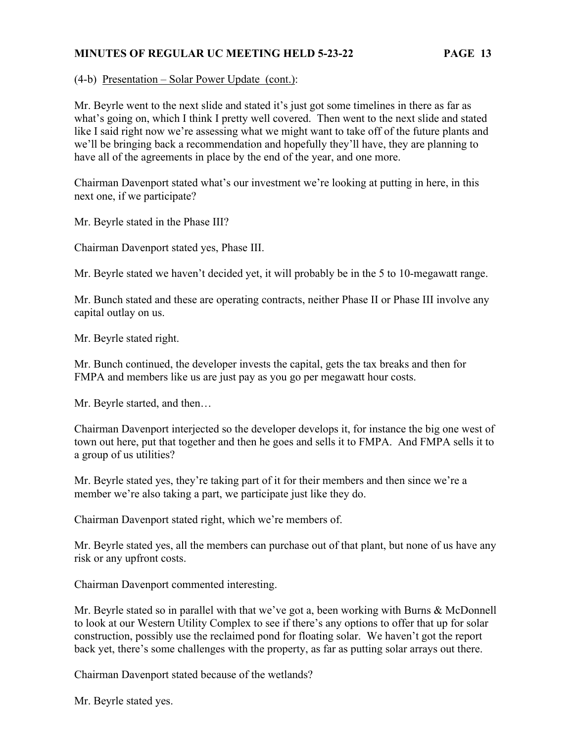(4-b) Presentation – Solar Power Update (cont.):

Mr. Beyrle went to the next slide and stated it's just got some timelines in there as far as what's going on, which I think I pretty well covered. Then went to the next slide and stated like I said right now we're assessing what we might want to take off of the future plants and we'll be bringing back a recommendation and hopefully they'll have, they are planning to have all of the agreements in place by the end of the year, and one more.

Chairman Davenport stated what's our investment we're looking at putting in here, in this next one, if we participate?

Mr. Beyrle stated in the Phase III?

Chairman Davenport stated yes, Phase III.

Mr. Beyrle stated we haven't decided yet, it will probably be in the 5 to 10-megawatt range.

Mr. Bunch stated and these are operating contracts, neither Phase II or Phase III involve any capital outlay on us.

Mr. Beyrle stated right.

Mr. Bunch continued, the developer invests the capital, gets the tax breaks and then for FMPA and members like us are just pay as you go per megawatt hour costs.

Mr. Beyrle started, and then…

Chairman Davenport interjected so the developer develops it, for instance the big one west of town out here, put that together and then he goes and sells it to FMPA. And FMPA sells it to a group of us utilities?

Mr. Beyrle stated yes, they're taking part of it for their members and then since we're a member we're also taking a part, we participate just like they do.

Chairman Davenport stated right, which we're members of.

Mr. Beyrle stated yes, all the members can purchase out of that plant, but none of us have any risk or any upfront costs.

Chairman Davenport commented interesting.

Mr. Beyrle stated so in parallel with that we've got a, been working with Burns & McDonnell to look at our Western Utility Complex to see if there's any options to offer that up for solar construction, possibly use the reclaimed pond for floating solar. We haven't got the report back yet, there's some challenges with the property, as far as putting solar arrays out there.

Chairman Davenport stated because of the wetlands?

Mr. Beyrle stated yes.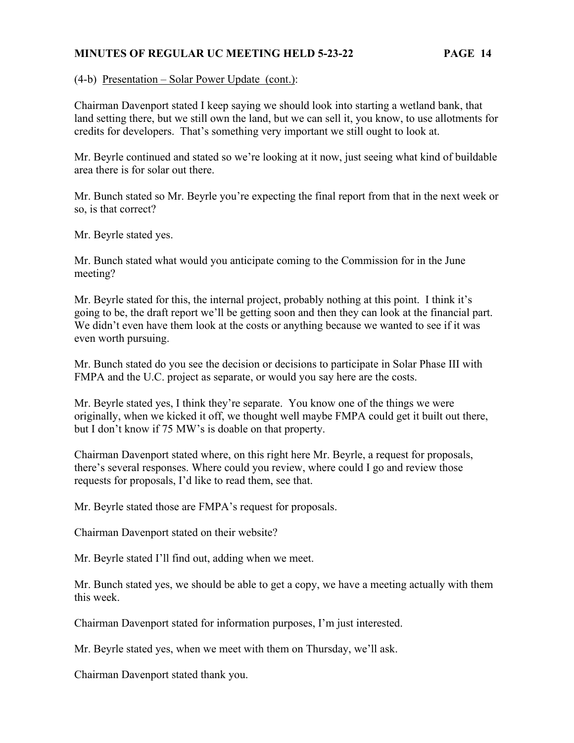(4-b) Presentation – Solar Power Update (cont.):

Chairman Davenport stated I keep saying we should look into starting a wetland bank, that land setting there, but we still own the land, but we can sell it, you know, to use allotments for credits for developers. That's something very important we still ought to look at.

Mr. Beyrle continued and stated so we're looking at it now, just seeing what kind of buildable area there is for solar out there.

Mr. Bunch stated so Mr. Beyrle you're expecting the final report from that in the next week or so, is that correct?

Mr. Beyrle stated yes.

Mr. Bunch stated what would you anticipate coming to the Commission for in the June meeting?

Mr. Beyrle stated for this, the internal project, probably nothing at this point. I think it's going to be, the draft report we'll be getting soon and then they can look at the financial part. We didn't even have them look at the costs or anything because we wanted to see if it was even worth pursuing.

Mr. Bunch stated do you see the decision or decisions to participate in Solar Phase III with FMPA and the U.C. project as separate, or would you say here are the costs.

Mr. Beyrle stated yes, I think they're separate. You know one of the things we were originally, when we kicked it off, we thought well maybe FMPA could get it built out there, but I don't know if 75 MW's is doable on that property.

Chairman Davenport stated where, on this right here Mr. Beyrle, a request for proposals, there's several responses. Where could you review, where could I go and review those requests for proposals, I'd like to read them, see that.

Mr. Beyrle stated those are FMPA's request for proposals.

Chairman Davenport stated on their website?

Mr. Beyrle stated I'll find out, adding when we meet.

Mr. Bunch stated yes, we should be able to get a copy, we have a meeting actually with them this week.

Chairman Davenport stated for information purposes, I'm just interested.

Mr. Beyrle stated yes, when we meet with them on Thursday, we'll ask.

Chairman Davenport stated thank you.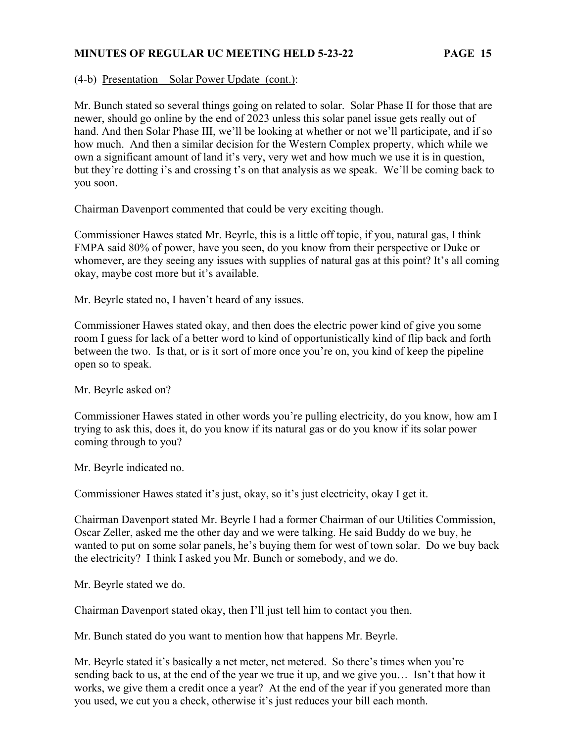(4-b) Presentation – Solar Power Update (cont.):

Mr. Bunch stated so several things going on related to solar. Solar Phase II for those that are newer, should go online by the end of 2023 unless this solar panel issue gets really out of hand. And then Solar Phase III, we'll be looking at whether or not we'll participate, and if so how much. And then a similar decision for the Western Complex property, which while we own a significant amount of land it's very, very wet and how much we use it is in question, but they're dotting i's and crossing t's on that analysis as we speak. We'll be coming back to you soon.

Chairman Davenport commented that could be very exciting though.

Commissioner Hawes stated Mr. Beyrle, this is a little off topic, if you, natural gas, I think FMPA said 80% of power, have you seen, do you know from their perspective or Duke or whomever, are they seeing any issues with supplies of natural gas at this point? It's all coming okay, maybe cost more but it's available.

Mr. Beyrle stated no, I haven't heard of any issues.

Commissioner Hawes stated okay, and then does the electric power kind of give you some room I guess for lack of a better word to kind of opportunistically kind of flip back and forth between the two. Is that, or is it sort of more once you're on, you kind of keep the pipeline open so to speak.

Mr. Beyrle asked on?

Commissioner Hawes stated in other words you're pulling electricity, do you know, how am I trying to ask this, does it, do you know if its natural gas or do you know if its solar power coming through to you?

Mr. Beyrle indicated no.

Commissioner Hawes stated it's just, okay, so it's just electricity, okay I get it.

Chairman Davenport stated Mr. Beyrle I had a former Chairman of our Utilities Commission, Oscar Zeller, asked me the other day and we were talking. He said Buddy do we buy, he wanted to put on some solar panels, he's buying them for west of town solar. Do we buy back the electricity? I think I asked you Mr. Bunch or somebody, and we do.

Mr. Beyrle stated we do.

Chairman Davenport stated okay, then I'll just tell him to contact you then.

Mr. Bunch stated do you want to mention how that happens Mr. Beyrle.

Mr. Beyrle stated it's basically a net meter, net metered. So there's times when you're sending back to us, at the end of the year we true it up, and we give you… Isn't that how it works, we give them a credit once a year? At the end of the year if you generated more than you used, we cut you a check, otherwise it's just reduces your bill each month.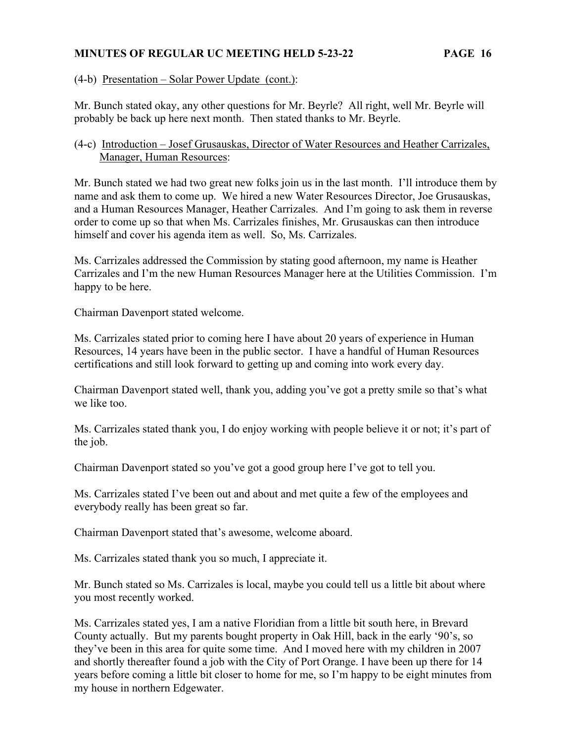(4-b) Presentation – Solar Power Update (cont.):

Mr. Bunch stated okay, any other questions for Mr. Beyrle? All right, well Mr. Beyrle will probably be back up here next month. Then stated thanks to Mr. Beyrle.

## (4-c) Introduction – Josef Grusauskas, Director of Water Resources and Heather Carrizales, Manager, Human Resources:

Mr. Bunch stated we had two great new folks join us in the last month. I'll introduce them by name and ask them to come up. We hired a new Water Resources Director, Joe Grusauskas, and a Human Resources Manager, Heather Carrizales. And I'm going to ask them in reverse order to come up so that when Ms. Carrizales finishes, Mr. Grusauskas can then introduce himself and cover his agenda item as well. So, Ms. Carrizales.

Ms. Carrizales addressed the Commission by stating good afternoon, my name is Heather Carrizales and I'm the new Human Resources Manager here at the Utilities Commission. I'm happy to be here.

Chairman Davenport stated welcome.

Ms. Carrizales stated prior to coming here I have about 20 years of experience in Human Resources, 14 years have been in the public sector. I have a handful of Human Resources certifications and still look forward to getting up and coming into work every day.

Chairman Davenport stated well, thank you, adding you've got a pretty smile so that's what we like too.

Ms. Carrizales stated thank you, I do enjoy working with people believe it or not; it's part of the job.

Chairman Davenport stated so you've got a good group here I've got to tell you.

Ms. Carrizales stated I've been out and about and met quite a few of the employees and everybody really has been great so far.

Chairman Davenport stated that's awesome, welcome aboard.

Ms. Carrizales stated thank you so much, I appreciate it.

Mr. Bunch stated so Ms. Carrizales is local, maybe you could tell us a little bit about where you most recently worked.

Ms. Carrizales stated yes, I am a native Floridian from a little bit south here, in Brevard County actually. But my parents bought property in Oak Hill, back in the early '90's, so they've been in this area for quite some time. And I moved here with my children in 2007 and shortly thereafter found a job with the City of Port Orange. I have been up there for 14 years before coming a little bit closer to home for me, so I'm happy to be eight minutes from my house in northern Edgewater.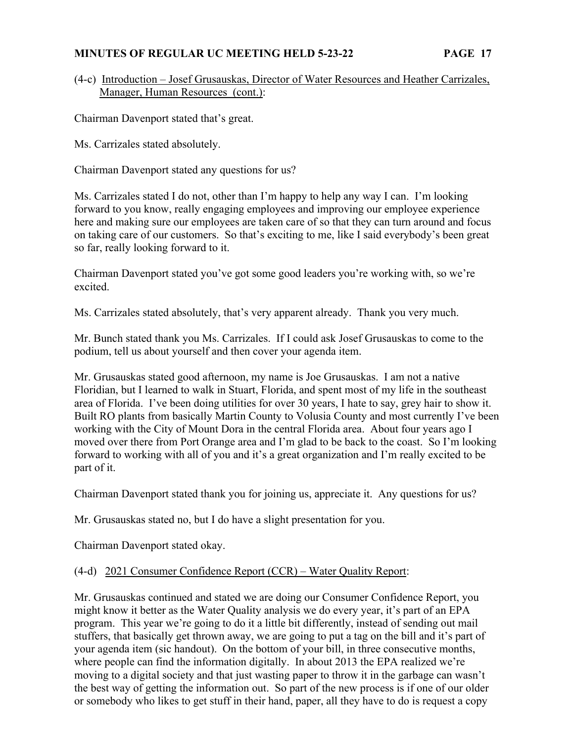(4-c) Introduction – Josef Grusauskas, Director of Water Resources and Heather Carrizales, Manager, Human Resources (cont.):

Chairman Davenport stated that's great.

Ms. Carrizales stated absolutely.

Chairman Davenport stated any questions for us?

Ms. Carrizales stated I do not, other than I'm happy to help any way I can. I'm looking forward to you know, really engaging employees and improving our employee experience here and making sure our employees are taken care of so that they can turn around and focus on taking care of our customers. So that's exciting to me, like I said everybody's been great so far, really looking forward to it.

Chairman Davenport stated you've got some good leaders you're working with, so we're excited.

Ms. Carrizales stated absolutely, that's very apparent already. Thank you very much.

Mr. Bunch stated thank you Ms. Carrizales. If I could ask Josef Grusauskas to come to the podium, tell us about yourself and then cover your agenda item.

Mr. Grusauskas stated good afternoon, my name is Joe Grusauskas. I am not a native Floridian, but I learned to walk in Stuart, Florida, and spent most of my life in the southeast area of Florida. I've been doing utilities for over 30 years, I hate to say, grey hair to show it. Built RO plants from basically Martin County to Volusia County and most currently I've been working with the City of Mount Dora in the central Florida area. About four years ago I moved over there from Port Orange area and I'm glad to be back to the coast. So I'm looking forward to working with all of you and it's a great organization and I'm really excited to be part of it.

Chairman Davenport stated thank you for joining us, appreciate it. Any questions for us?

Mr. Grusauskas stated no, but I do have a slight presentation for you.

Chairman Davenport stated okay.

#### (4-d) 2021 Consumer Confidence Report (CCR) – Water Quality Report:

Mr. Grusauskas continued and stated we are doing our Consumer Confidence Report, you might know it better as the Water Quality analysis we do every year, it's part of an EPA program. This year we're going to do it a little bit differently, instead of sending out mail stuffers, that basically get thrown away, we are going to put a tag on the bill and it's part of your agenda item (sic handout). On the bottom of your bill, in three consecutive months, where people can find the information digitally. In about 2013 the EPA realized we're moving to a digital society and that just wasting paper to throw it in the garbage can wasn't the best way of getting the information out. So part of the new process is if one of our older or somebody who likes to get stuff in their hand, paper, all they have to do is request a copy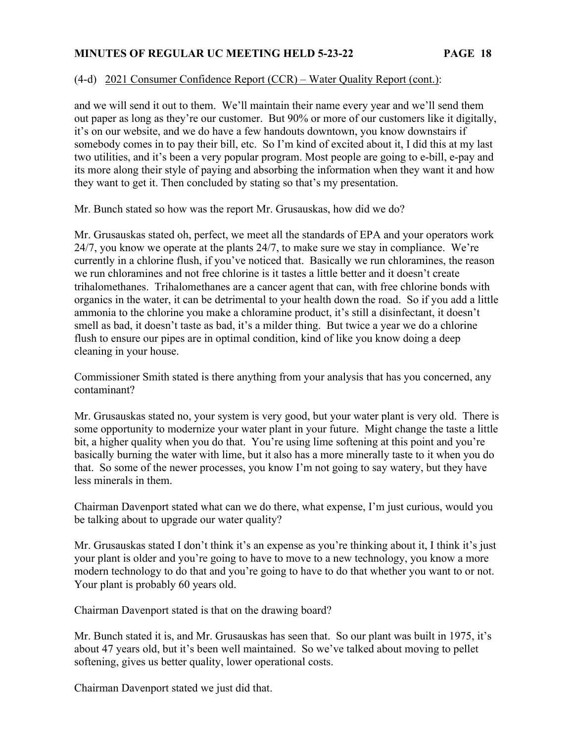### (4-d) 2021 Consumer Confidence Report (CCR) – Water Quality Report (cont.):

and we will send it out to them. We'll maintain their name every year and we'll send them out paper as long as they're our customer. But 90% or more of our customers like it digitally, it's on our website, and we do have a few handouts downtown, you know downstairs if somebody comes in to pay their bill, etc. So I'm kind of excited about it, I did this at my last two utilities, and it's been a very popular program. Most people are going to e-bill, e-pay and its more along their style of paying and absorbing the information when they want it and how they want to get it. Then concluded by stating so that's my presentation.

Mr. Bunch stated so how was the report Mr. Grusauskas, how did we do?

Mr. Grusauskas stated oh, perfect, we meet all the standards of EPA and your operators work 24/7, you know we operate at the plants 24/7, to make sure we stay in compliance. We're currently in a chlorine flush, if you've noticed that. Basically we run chloramines, the reason we run chloramines and not free chlorine is it tastes a little better and it doesn't create trihalomethanes. Trihalomethanes are a cancer agent that can, with free chlorine bonds with organics in the water, it can be detrimental to your health down the road. So if you add a little ammonia to the chlorine you make a chloramine product, it's still a disinfectant, it doesn't smell as bad, it doesn't taste as bad, it's a milder thing. But twice a year we do a chlorine flush to ensure our pipes are in optimal condition, kind of like you know doing a deep cleaning in your house.

Commissioner Smith stated is there anything from your analysis that has you concerned, any contaminant?

Mr. Grusauskas stated no, your system is very good, but your water plant is very old. There is some opportunity to modernize your water plant in your future. Might change the taste a little bit, a higher quality when you do that. You're using lime softening at this point and you're basically burning the water with lime, but it also has a more minerally taste to it when you do that. So some of the newer processes, you know I'm not going to say watery, but they have less minerals in them.

Chairman Davenport stated what can we do there, what expense, I'm just curious, would you be talking about to upgrade our water quality?

Mr. Grusauskas stated I don't think it's an expense as you're thinking about it, I think it's just your plant is older and you're going to have to move to a new technology, you know a more modern technology to do that and you're going to have to do that whether you want to or not. Your plant is probably 60 years old.

Chairman Davenport stated is that on the drawing board?

Mr. Bunch stated it is, and Mr. Grusauskas has seen that. So our plant was built in 1975, it's about 47 years old, but it's been well maintained. So we've talked about moving to pellet softening, gives us better quality, lower operational costs.

Chairman Davenport stated we just did that.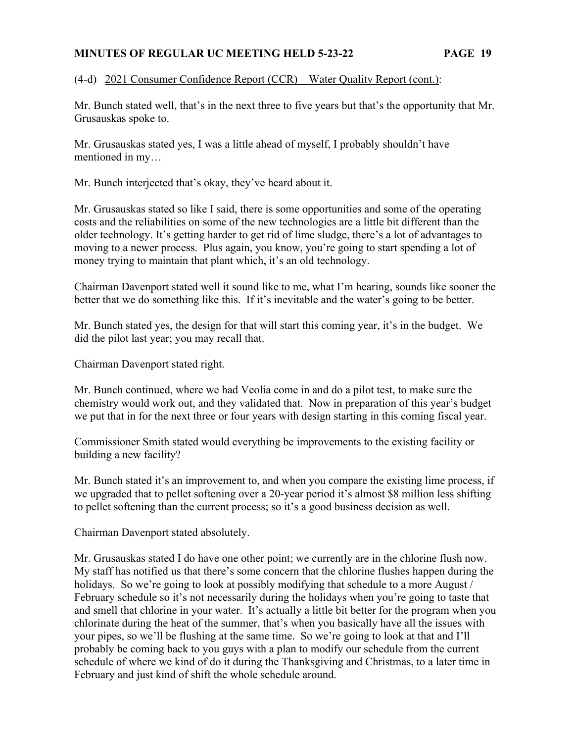## (4-d) 2021 Consumer Confidence Report (CCR) – Water Quality Report (cont.):

Mr. Bunch stated well, that's in the next three to five years but that's the opportunity that Mr. Grusauskas spoke to.

Mr. Grusauskas stated yes, I was a little ahead of myself, I probably shouldn't have mentioned in my…

Mr. Bunch interjected that's okay, they've heard about it.

Mr. Grusauskas stated so like I said, there is some opportunities and some of the operating costs and the reliabilities on some of the new technologies are a little bit different than the older technology. It's getting harder to get rid of lime sludge, there's a lot of advantages to moving to a newer process. Plus again, you know, you're going to start spending a lot of money trying to maintain that plant which, it's an old technology.

Chairman Davenport stated well it sound like to me, what I'm hearing, sounds like sooner the better that we do something like this. If it's inevitable and the water's going to be better.

Mr. Bunch stated yes, the design for that will start this coming year, it's in the budget. We did the pilot last year; you may recall that.

Chairman Davenport stated right.

Mr. Bunch continued, where we had Veolia come in and do a pilot test, to make sure the chemistry would work out, and they validated that. Now in preparation of this year's budget we put that in for the next three or four years with design starting in this coming fiscal year.

Commissioner Smith stated would everything be improvements to the existing facility or building a new facility?

Mr. Bunch stated it's an improvement to, and when you compare the existing lime process, if we upgraded that to pellet softening over a 20-year period it's almost \$8 million less shifting to pellet softening than the current process; so it's a good business decision as well.

Chairman Davenport stated absolutely.

Mr. Grusauskas stated I do have one other point; we currently are in the chlorine flush now. My staff has notified us that there's some concern that the chlorine flushes happen during the holidays. So we're going to look at possibly modifying that schedule to a more August / February schedule so it's not necessarily during the holidays when you're going to taste that and smell that chlorine in your water. It's actually a little bit better for the program when you chlorinate during the heat of the summer, that's when you basically have all the issues with your pipes, so we'll be flushing at the same time. So we're going to look at that and I'll probably be coming back to you guys with a plan to modify our schedule from the current schedule of where we kind of do it during the Thanksgiving and Christmas, to a later time in February and just kind of shift the whole schedule around.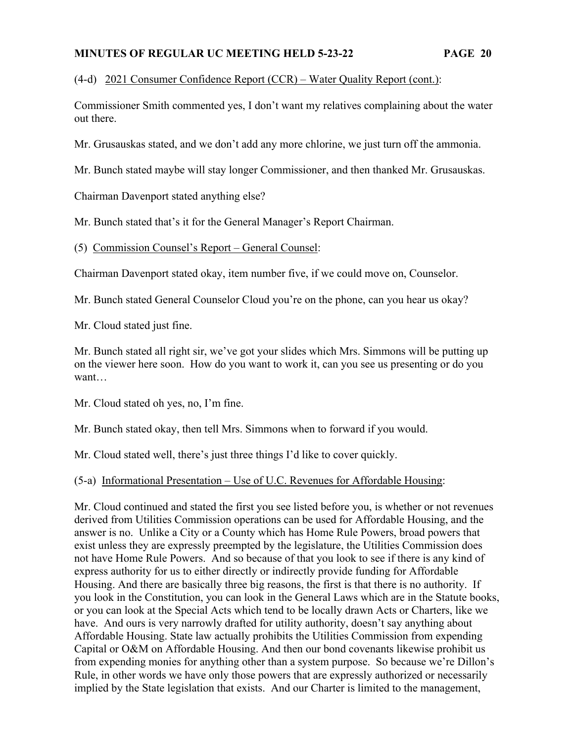(4-d) 2021 Consumer Confidence Report (CCR) – Water Quality Report (cont.):

Commissioner Smith commented yes, I don't want my relatives complaining about the water out there.

Mr. Grusauskas stated, and we don't add any more chlorine, we just turn off the ammonia.

Mr. Bunch stated maybe will stay longer Commissioner, and then thanked Mr. Grusauskas.

Chairman Davenport stated anything else?

Mr. Bunch stated that's it for the General Manager's Report Chairman.

(5) Commission Counsel's Report – General Counsel:

Chairman Davenport stated okay, item number five, if we could move on, Counselor.

Mr. Bunch stated General Counselor Cloud you're on the phone, can you hear us okay?

Mr. Cloud stated just fine.

Mr. Bunch stated all right sir, we've got your slides which Mrs. Simmons will be putting up on the viewer here soon. How do you want to work it, can you see us presenting or do you want…

Mr. Cloud stated oh yes, no, I'm fine.

Mr. Bunch stated okay, then tell Mrs. Simmons when to forward if you would.

Mr. Cloud stated well, there's just three things I'd like to cover quickly.

(5-a) Informational Presentation – Use of U.C. Revenues for Affordable Housing:

Mr. Cloud continued and stated the first you see listed before you, is whether or not revenues derived from Utilities Commission operations can be used for Affordable Housing, and the answer is no. Unlike a City or a County which has Home Rule Powers, broad powers that exist unless they are expressly preempted by the legislature, the Utilities Commission does not have Home Rule Powers. And so because of that you look to see if there is any kind of express authority for us to either directly or indirectly provide funding for Affordable Housing. And there are basically three big reasons, the first is that there is no authority. If you look in the Constitution, you can look in the General Laws which are in the Statute books, or you can look at the Special Acts which tend to be locally drawn Acts or Charters, like we have. And ours is very narrowly drafted for utility authority, doesn't say anything about Affordable Housing. State law actually prohibits the Utilities Commission from expending Capital or O&M on Affordable Housing. And then our bond covenants likewise prohibit us from expending monies for anything other than a system purpose. So because we're Dillon's Rule, in other words we have only those powers that are expressly authorized or necessarily implied by the State legislation that exists. And our Charter is limited to the management,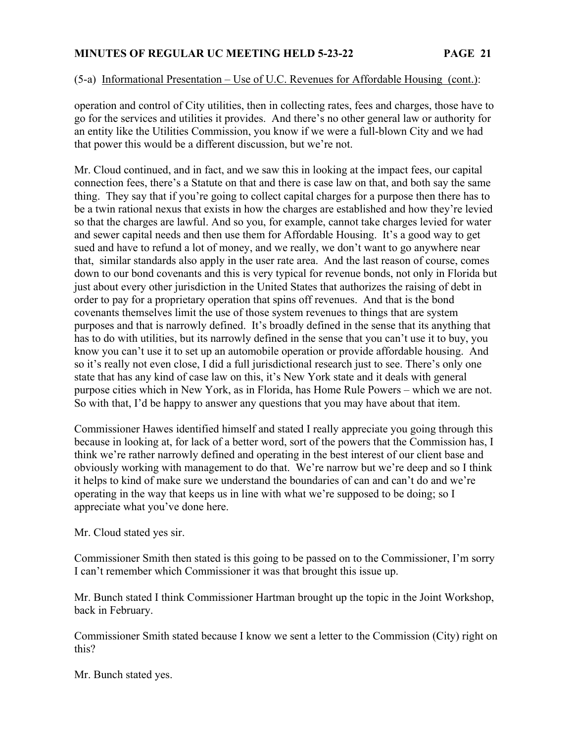## (5-a) Informational Presentation – Use of U.C. Revenues for Affordable Housing (cont.):

operation and control of City utilities, then in collecting rates, fees and charges, those have to go for the services and utilities it provides. And there's no other general law or authority for an entity like the Utilities Commission, you know if we were a full-blown City and we had that power this would be a different discussion, but we're not.

Mr. Cloud continued, and in fact, and we saw this in looking at the impact fees, our capital connection fees, there's a Statute on that and there is case law on that, and both say the same thing. They say that if you're going to collect capital charges for a purpose then there has to be a twin rational nexus that exists in how the charges are established and how they're levied so that the charges are lawful. And so you, for example, cannot take charges levied for water and sewer capital needs and then use them for Affordable Housing. It's a good way to get sued and have to refund a lot of money, and we really, we don't want to go anywhere near that, similar standards also apply in the user rate area. And the last reason of course, comes down to our bond covenants and this is very typical for revenue bonds, not only in Florida but just about every other jurisdiction in the United States that authorizes the raising of debt in order to pay for a proprietary operation that spins off revenues. And that is the bond covenants themselves limit the use of those system revenues to things that are system purposes and that is narrowly defined. It's broadly defined in the sense that its anything that has to do with utilities, but its narrowly defined in the sense that you can't use it to buy, you know you can't use it to set up an automobile operation or provide affordable housing. And so it's really not even close, I did a full jurisdictional research just to see. There's only one state that has any kind of case law on this, it's New York state and it deals with general purpose cities which in New York, as in Florida, has Home Rule Powers – which we are not. So with that, I'd be happy to answer any questions that you may have about that item.

Commissioner Hawes identified himself and stated I really appreciate you going through this because in looking at, for lack of a better word, sort of the powers that the Commission has, I think we're rather narrowly defined and operating in the best interest of our client base and obviously working with management to do that. We're narrow but we're deep and so I think it helps to kind of make sure we understand the boundaries of can and can't do and we're operating in the way that keeps us in line with what we're supposed to be doing; so I appreciate what you've done here.

Mr. Cloud stated yes sir.

Commissioner Smith then stated is this going to be passed on to the Commissioner, I'm sorry I can't remember which Commissioner it was that brought this issue up.

Mr. Bunch stated I think Commissioner Hartman brought up the topic in the Joint Workshop, back in February.

Commissioner Smith stated because I know we sent a letter to the Commission (City) right on this?

Mr. Bunch stated yes.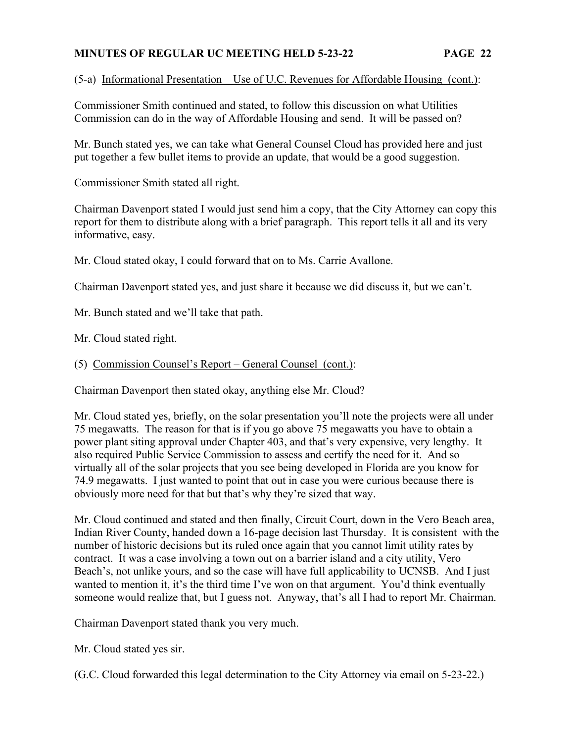(5-a) Informational Presentation – Use of U.C. Revenues for Affordable Housing (cont.):

Commissioner Smith continued and stated, to follow this discussion on what Utilities Commission can do in the way of Affordable Housing and send. It will be passed on?

Mr. Bunch stated yes, we can take what General Counsel Cloud has provided here and just put together a few bullet items to provide an update, that would be a good suggestion.

Commissioner Smith stated all right.

Chairman Davenport stated I would just send him a copy, that the City Attorney can copy this report for them to distribute along with a brief paragraph. This report tells it all and its very informative, easy.

Mr. Cloud stated okay, I could forward that on to Ms. Carrie Avallone.

Chairman Davenport stated yes, and just share it because we did discuss it, but we can't.

Mr. Bunch stated and we'll take that path.

Mr. Cloud stated right.

## (5) Commission Counsel's Report – General Counsel (cont.):

Chairman Davenport then stated okay, anything else Mr. Cloud?

Mr. Cloud stated yes, briefly, on the solar presentation you'll note the projects were all under 75 megawatts. The reason for that is if you go above 75 megawatts you have to obtain a power plant siting approval under Chapter 403, and that's very expensive, very lengthy. It also required Public Service Commission to assess and certify the need for it. And so virtually all of the solar projects that you see being developed in Florida are you know for 74.9 megawatts. I just wanted to point that out in case you were curious because there is obviously more need for that but that's why they're sized that way.

Mr. Cloud continued and stated and then finally, Circuit Court, down in the Vero Beach area, Indian River County, handed down a 16-page decision last Thursday. It is consistent with the number of historic decisions but its ruled once again that you cannot limit utility rates by contract. It was a case involving a town out on a barrier island and a city utility, Vero Beach's, not unlike yours, and so the case will have full applicability to UCNSB. And I just wanted to mention it, it's the third time I've won on that argument. You'd think eventually someone would realize that, but I guess not. Anyway, that's all I had to report Mr. Chairman.

Chairman Davenport stated thank you very much.

Mr. Cloud stated yes sir.

(G.C. Cloud forwarded this legal determination to the City Attorney via email on 5-23-22.)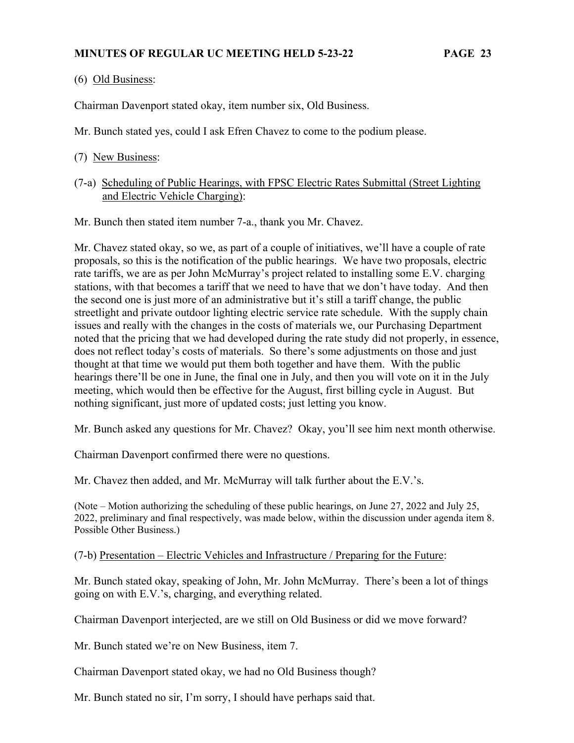(6) Old Business:

Chairman Davenport stated okay, item number six, Old Business.

Mr. Bunch stated yes, could I ask Efren Chavez to come to the podium please.

(7-a) Scheduling of Public Hearings, with FPSC Electric Rates Submittal (Street Lighting and Electric Vehicle Charging):

Mr. Bunch then stated item number 7-a., thank you Mr. Chavez.

Mr. Chavez stated okay, so we, as part of a couple of initiatives, we'll have a couple of rate proposals, so this is the notification of the public hearings. We have two proposals, electric rate tariffs, we are as per John McMurray's project related to installing some E.V. charging stations, with that becomes a tariff that we need to have that we don't have today. And then the second one is just more of an administrative but it's still a tariff change, the public streetlight and private outdoor lighting electric service rate schedule. With the supply chain issues and really with the changes in the costs of materials we, our Purchasing Department noted that the pricing that we had developed during the rate study did not properly, in essence, does not reflect today's costs of materials. So there's some adjustments on those and just thought at that time we would put them both together and have them. With the public hearings there'll be one in June, the final one in July, and then you will vote on it in the July meeting, which would then be effective for the August, first billing cycle in August. But nothing significant, just more of updated costs; just letting you know.

Mr. Bunch asked any questions for Mr. Chavez? Okay, you'll see him next month otherwise.

Chairman Davenport confirmed there were no questions.

Mr. Chavez then added, and Mr. McMurray will talk further about the E.V.'s.

(Note – Motion authorizing the scheduling of these public hearings, on June 27, 2022 and July 25, 2022, preliminary and final respectively, was made below, within the discussion under agenda item 8. Possible Other Business.)

#### (7-b) Presentation – Electric Vehicles and Infrastructure / Preparing for the Future:

Mr. Bunch stated okay, speaking of John, Mr. John McMurray. There's been a lot of things going on with E.V.'s, charging, and everything related.

Chairman Davenport interjected, are we still on Old Business or did we move forward?

Mr. Bunch stated we're on New Business, item 7.

Chairman Davenport stated okay, we had no Old Business though?

Mr. Bunch stated no sir, I'm sorry, I should have perhaps said that.

<sup>(7)</sup> New Business: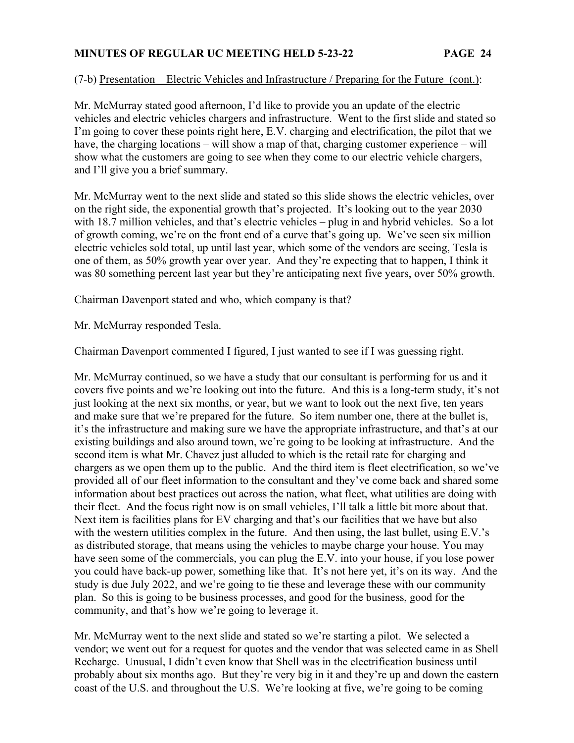### (7-b) Presentation – Electric Vehicles and Infrastructure / Preparing for the Future (cont.):

Mr. McMurray stated good afternoon, I'd like to provide you an update of the electric vehicles and electric vehicles chargers and infrastructure. Went to the first slide and stated so I'm going to cover these points right here, E.V. charging and electrification, the pilot that we have, the charging locations – will show a map of that, charging customer experience – will show what the customers are going to see when they come to our electric vehicle chargers, and I'll give you a brief summary.

Mr. McMurray went to the next slide and stated so this slide shows the electric vehicles, over on the right side, the exponential growth that's projected. It's looking out to the year 2030 with 18.7 million vehicles, and that's electric vehicles – plug in and hybrid vehicles. So a lot of growth coming, we're on the front end of a curve that's going up. We've seen six million electric vehicles sold total, up until last year, which some of the vendors are seeing, Tesla is one of them, as 50% growth year over year. And they're expecting that to happen, I think it was 80 something percent last year but they're anticipating next five years, over 50% growth.

Chairman Davenport stated and who, which company is that?

Mr. McMurray responded Tesla.

Chairman Davenport commented I figured, I just wanted to see if I was guessing right.

Mr. McMurray continued, so we have a study that our consultant is performing for us and it covers five points and we're looking out into the future. And this is a long-term study, it's not just looking at the next six months, or year, but we want to look out the next five, ten years and make sure that we're prepared for the future. So item number one, there at the bullet is, it's the infrastructure and making sure we have the appropriate infrastructure, and that's at our existing buildings and also around town, we're going to be looking at infrastructure. And the second item is what Mr. Chavez just alluded to which is the retail rate for charging and chargers as we open them up to the public. And the third item is fleet electrification, so we've provided all of our fleet information to the consultant and they've come back and shared some information about best practices out across the nation, what fleet, what utilities are doing with their fleet. And the focus right now is on small vehicles, I'll talk a little bit more about that. Next item is facilities plans for EV charging and that's our facilities that we have but also with the western utilities complex in the future. And then using, the last bullet, using E.V.'s as distributed storage, that means using the vehicles to maybe charge your house. You may have seen some of the commercials, you can plug the E.V. into your house, if you lose power you could have back-up power, something like that. It's not here yet, it's on its way. And the study is due July 2022, and we're going to tie these and leverage these with our community plan. So this is going to be business processes, and good for the business, good for the community, and that's how we're going to leverage it.

Mr. McMurray went to the next slide and stated so we're starting a pilot. We selected a vendor; we went out for a request for quotes and the vendor that was selected came in as Shell Recharge. Unusual, I didn't even know that Shell was in the electrification business until probably about six months ago. But they're very big in it and they're up and down the eastern coast of the U.S. and throughout the U.S. We're looking at five, we're going to be coming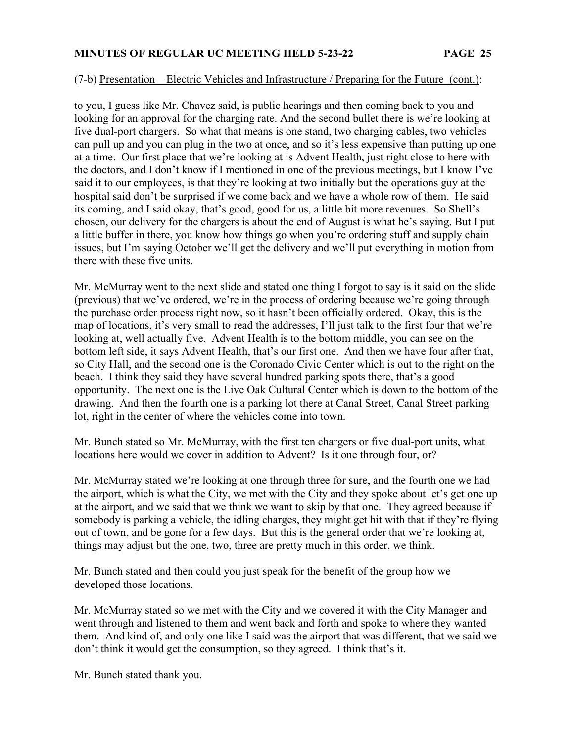#### (7-b) Presentation – Electric Vehicles and Infrastructure / Preparing for the Future (cont.):

to you, I guess like Mr. Chavez said, is public hearings and then coming back to you and looking for an approval for the charging rate. And the second bullet there is we're looking at five dual-port chargers. So what that means is one stand, two charging cables, two vehicles can pull up and you can plug in the two at once, and so it's less expensive than putting up one at a time. Our first place that we're looking at is Advent Health, just right close to here with the doctors, and I don't know if I mentioned in one of the previous meetings, but I know I've said it to our employees, is that they're looking at two initially but the operations guy at the hospital said don't be surprised if we come back and we have a whole row of them. He said its coming, and I said okay, that's good, good for us, a little bit more revenues. So Shell's chosen, our delivery for the chargers is about the end of August is what he's saying. But I put a little buffer in there, you know how things go when you're ordering stuff and supply chain issues, but I'm saying October we'll get the delivery and we'll put everything in motion from there with these five units.

Mr. McMurray went to the next slide and stated one thing I forgot to say is it said on the slide (previous) that we've ordered, we're in the process of ordering because we're going through the purchase order process right now, so it hasn't been officially ordered. Okay, this is the map of locations, it's very small to read the addresses, I'll just talk to the first four that we're looking at, well actually five. Advent Health is to the bottom middle, you can see on the bottom left side, it says Advent Health, that's our first one. And then we have four after that, so City Hall, and the second one is the Coronado Civic Center which is out to the right on the beach. I think they said they have several hundred parking spots there, that's a good opportunity. The next one is the Live Oak Cultural Center which is down to the bottom of the drawing. And then the fourth one is a parking lot there at Canal Street, Canal Street parking lot, right in the center of where the vehicles come into town.

Mr. Bunch stated so Mr. McMurray, with the first ten chargers or five dual-port units, what locations here would we cover in addition to Advent? Is it one through four, or?

Mr. McMurray stated we're looking at one through three for sure, and the fourth one we had the airport, which is what the City, we met with the City and they spoke about let's get one up at the airport, and we said that we think we want to skip by that one. They agreed because if somebody is parking a vehicle, the idling charges, they might get hit with that if they're flying out of town, and be gone for a few days. But this is the general order that we're looking at, things may adjust but the one, two, three are pretty much in this order, we think.

Mr. Bunch stated and then could you just speak for the benefit of the group how we developed those locations.

Mr. McMurray stated so we met with the City and we covered it with the City Manager and went through and listened to them and went back and forth and spoke to where they wanted them. And kind of, and only one like I said was the airport that was different, that we said we don't think it would get the consumption, so they agreed. I think that's it.

Mr. Bunch stated thank you.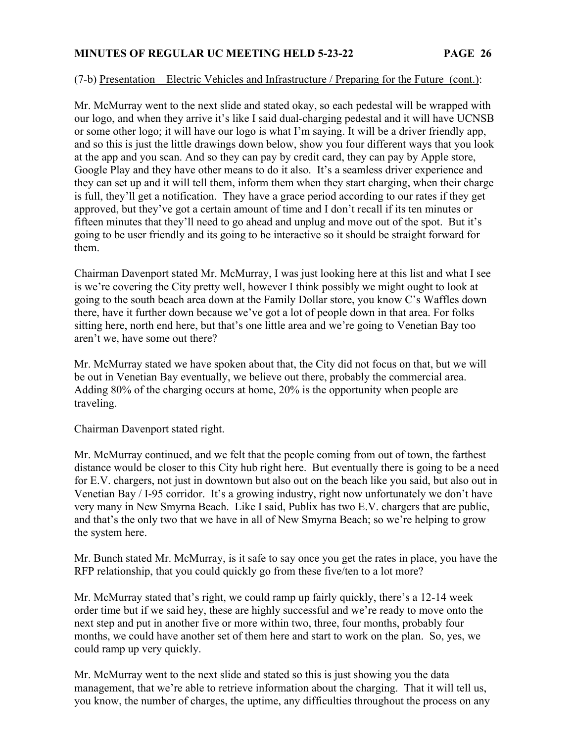### (7-b) Presentation – Electric Vehicles and Infrastructure / Preparing for the Future (cont.):

Mr. McMurray went to the next slide and stated okay, so each pedestal will be wrapped with our logo, and when they arrive it's like I said dual-charging pedestal and it will have UCNSB or some other logo; it will have our logo is what I'm saying. It will be a driver friendly app, and so this is just the little drawings down below, show you four different ways that you look at the app and you scan. And so they can pay by credit card, they can pay by Apple store, Google Play and they have other means to do it also. It's a seamless driver experience and they can set up and it will tell them, inform them when they start charging, when their charge is full, they'll get a notification. They have a grace period according to our rates if they get approved, but they've got a certain amount of time and I don't recall if its ten minutes or fifteen minutes that they'll need to go ahead and unplug and move out of the spot. But it's going to be user friendly and its going to be interactive so it should be straight forward for them.

Chairman Davenport stated Mr. McMurray, I was just looking here at this list and what I see is we're covering the City pretty well, however I think possibly we might ought to look at going to the south beach area down at the Family Dollar store, you know C's Waffles down there, have it further down because we've got a lot of people down in that area. For folks sitting here, north end here, but that's one little area and we're going to Venetian Bay too aren't we, have some out there?

Mr. McMurray stated we have spoken about that, the City did not focus on that, but we will be out in Venetian Bay eventually, we believe out there, probably the commercial area. Adding 80% of the charging occurs at home, 20% is the opportunity when people are traveling.

Chairman Davenport stated right.

Mr. McMurray continued, and we felt that the people coming from out of town, the farthest distance would be closer to this City hub right here. But eventually there is going to be a need for E.V. chargers, not just in downtown but also out on the beach like you said, but also out in Venetian Bay / I-95 corridor. It's a growing industry, right now unfortunately we don't have very many in New Smyrna Beach. Like I said, Publix has two E.V. chargers that are public, and that's the only two that we have in all of New Smyrna Beach; so we're helping to grow the system here.

Mr. Bunch stated Mr. McMurray, is it safe to say once you get the rates in place, you have the RFP relationship, that you could quickly go from these five/ten to a lot more?

Mr. McMurray stated that's right, we could ramp up fairly quickly, there's a 12-14 week order time but if we said hey, these are highly successful and we're ready to move onto the next step and put in another five or more within two, three, four months, probably four months, we could have another set of them here and start to work on the plan. So, yes, we could ramp up very quickly.

Mr. McMurray went to the next slide and stated so this is just showing you the data management, that we're able to retrieve information about the charging. That it will tell us, you know, the number of charges, the uptime, any difficulties throughout the process on any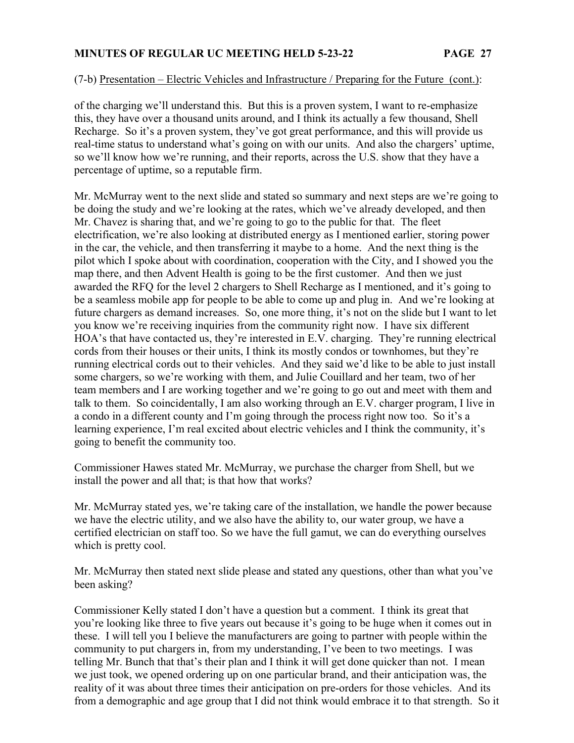## (7-b) Presentation – Electric Vehicles and Infrastructure / Preparing for the Future (cont.):

of the charging we'll understand this. But this is a proven system, I want to re-emphasize this, they have over a thousand units around, and I think its actually a few thousand, Shell Recharge. So it's a proven system, they've got great performance, and this will provide us real-time status to understand what's going on with our units. And also the chargers' uptime, so we'll know how we're running, and their reports, across the U.S. show that they have a percentage of uptime, so a reputable firm.

Mr. McMurray went to the next slide and stated so summary and next steps are we're going to be doing the study and we're looking at the rates, which we've already developed, and then Mr. Chavez is sharing that, and we're going to go to the public for that. The fleet electrification, we're also looking at distributed energy as I mentioned earlier, storing power in the car, the vehicle, and then transferring it maybe to a home. And the next thing is the pilot which I spoke about with coordination, cooperation with the City, and I showed you the map there, and then Advent Health is going to be the first customer. And then we just awarded the RFQ for the level 2 chargers to Shell Recharge as I mentioned, and it's going to be a seamless mobile app for people to be able to come up and plug in. And we're looking at future chargers as demand increases. So, one more thing, it's not on the slide but I want to let you know we're receiving inquiries from the community right now. I have six different HOA's that have contacted us, they're interested in E.V. charging. They're running electrical cords from their houses or their units, I think its mostly condos or townhomes, but they're running electrical cords out to their vehicles. And they said we'd like to be able to just install some chargers, so we're working with them, and Julie Couillard and her team, two of her team members and I are working together and we're going to go out and meet with them and talk to them. So coincidentally, I am also working through an E.V. charger program, I live in a condo in a different county and I'm going through the process right now too. So it's a learning experience, I'm real excited about electric vehicles and I think the community, it's going to benefit the community too.

Commissioner Hawes stated Mr. McMurray, we purchase the charger from Shell, but we install the power and all that; is that how that works?

Mr. McMurray stated yes, we're taking care of the installation, we handle the power because we have the electric utility, and we also have the ability to, our water group, we have a certified electrician on staff too. So we have the full gamut, we can do everything ourselves which is pretty cool.

Mr. McMurray then stated next slide please and stated any questions, other than what you've been asking?

Commissioner Kelly stated I don't have a question but a comment. I think its great that you're looking like three to five years out because it's going to be huge when it comes out in these. I will tell you I believe the manufacturers are going to partner with people within the community to put chargers in, from my understanding, I've been to two meetings. I was telling Mr. Bunch that that's their plan and I think it will get done quicker than not. I mean we just took, we opened ordering up on one particular brand, and their anticipation was, the reality of it was about three times their anticipation on pre-orders for those vehicles. And its from a demographic and age group that I did not think would embrace it to that strength. So it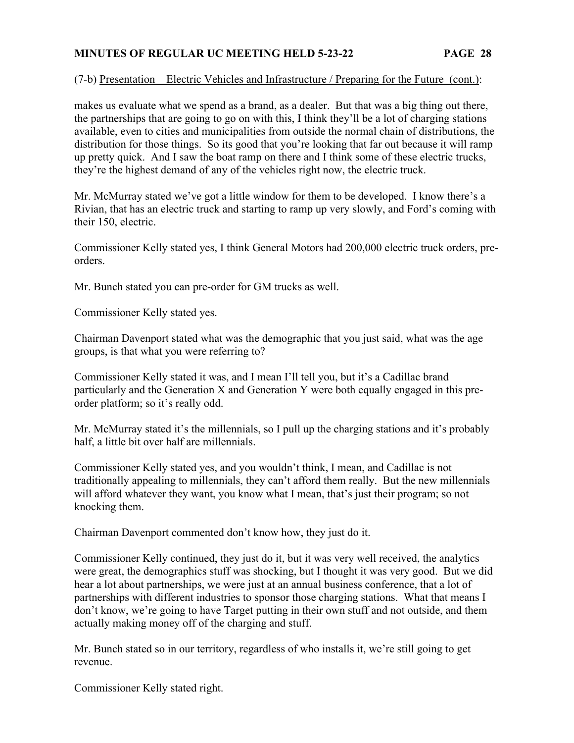### (7-b) Presentation – Electric Vehicles and Infrastructure / Preparing for the Future (cont.):

makes us evaluate what we spend as a brand, as a dealer. But that was a big thing out there, the partnerships that are going to go on with this, I think they'll be a lot of charging stations available, even to cities and municipalities from outside the normal chain of distributions, the distribution for those things. So its good that you're looking that far out because it will ramp up pretty quick. And I saw the boat ramp on there and I think some of these electric trucks, they're the highest demand of any of the vehicles right now, the electric truck.

Mr. McMurray stated we've got a little window for them to be developed. I know there's a Rivian, that has an electric truck and starting to ramp up very slowly, and Ford's coming with their 150, electric.

Commissioner Kelly stated yes, I think General Motors had 200,000 electric truck orders, preorders.

Mr. Bunch stated you can pre-order for GM trucks as well.

Commissioner Kelly stated yes.

Chairman Davenport stated what was the demographic that you just said, what was the age groups, is that what you were referring to?

Commissioner Kelly stated it was, and I mean I'll tell you, but it's a Cadillac brand particularly and the Generation X and Generation Y were both equally engaged in this preorder platform; so it's really odd.

Mr. McMurray stated it's the millennials, so I pull up the charging stations and it's probably half, a little bit over half are millennials.

Commissioner Kelly stated yes, and you wouldn't think, I mean, and Cadillac is not traditionally appealing to millennials, they can't afford them really. But the new millennials will afford whatever they want, you know what I mean, that's just their program; so not knocking them.

Chairman Davenport commented don't know how, they just do it.

Commissioner Kelly continued, they just do it, but it was very well received, the analytics were great, the demographics stuff was shocking, but I thought it was very good. But we did hear a lot about partnerships, we were just at an annual business conference, that a lot of partnerships with different industries to sponsor those charging stations. What that means I don't know, we're going to have Target putting in their own stuff and not outside, and them actually making money off of the charging and stuff.

Mr. Bunch stated so in our territory, regardless of who installs it, we're still going to get revenue.

Commissioner Kelly stated right.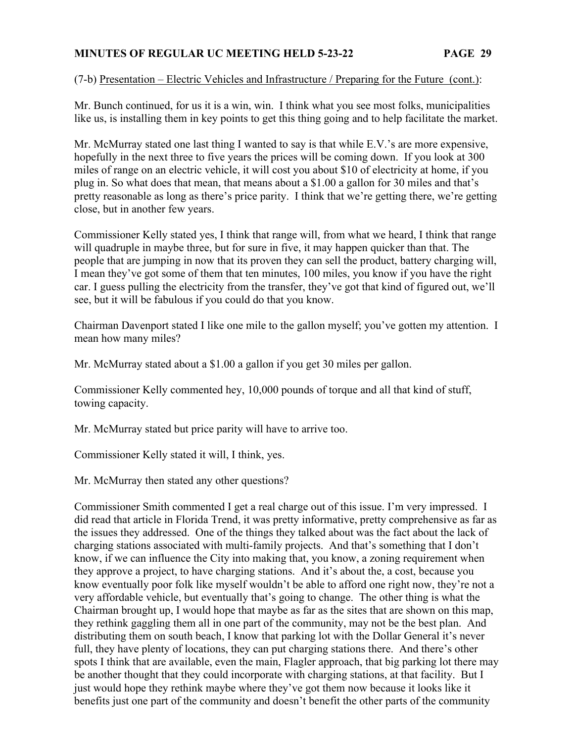### (7-b) Presentation – Electric Vehicles and Infrastructure / Preparing for the Future (cont.):

Mr. Bunch continued, for us it is a win, win. I think what you see most folks, municipalities like us, is installing them in key points to get this thing going and to help facilitate the market.

Mr. McMurray stated one last thing I wanted to say is that while E.V.'s are more expensive, hopefully in the next three to five years the prices will be coming down. If you look at 300 miles of range on an electric vehicle, it will cost you about \$10 of electricity at home, if you plug in. So what does that mean, that means about a \$1.00 a gallon for 30 miles and that's pretty reasonable as long as there's price parity. I think that we're getting there, we're getting close, but in another few years.

Commissioner Kelly stated yes, I think that range will, from what we heard, I think that range will quadruple in maybe three, but for sure in five, it may happen quicker than that. The people that are jumping in now that its proven they can sell the product, battery charging will, I mean they've got some of them that ten minutes, 100 miles, you know if you have the right car. I guess pulling the electricity from the transfer, they've got that kind of figured out, we'll see, but it will be fabulous if you could do that you know.

Chairman Davenport stated I like one mile to the gallon myself; you've gotten my attention. I mean how many miles?

Mr. McMurray stated about a \$1.00 a gallon if you get 30 miles per gallon.

Commissioner Kelly commented hey, 10,000 pounds of torque and all that kind of stuff, towing capacity.

Mr. McMurray stated but price parity will have to arrive too.

Commissioner Kelly stated it will, I think, yes.

Mr. McMurray then stated any other questions?

Commissioner Smith commented I get a real charge out of this issue. I'm very impressed. I did read that article in Florida Trend, it was pretty informative, pretty comprehensive as far as the issues they addressed. One of the things they talked about was the fact about the lack of charging stations associated with multi-family projects. And that's something that I don't know, if we can influence the City into making that, you know, a zoning requirement when they approve a project, to have charging stations. And it's about the, a cost, because you know eventually poor folk like myself wouldn't be able to afford one right now, they're not a very affordable vehicle, but eventually that's going to change. The other thing is what the Chairman brought up, I would hope that maybe as far as the sites that are shown on this map, they rethink gaggling them all in one part of the community, may not be the best plan. And distributing them on south beach, I know that parking lot with the Dollar General it's never full, they have plenty of locations, they can put charging stations there. And there's other spots I think that are available, even the main, Flagler approach, that big parking lot there may be another thought that they could incorporate with charging stations, at that facility. But I just would hope they rethink maybe where they've got them now because it looks like it benefits just one part of the community and doesn't benefit the other parts of the community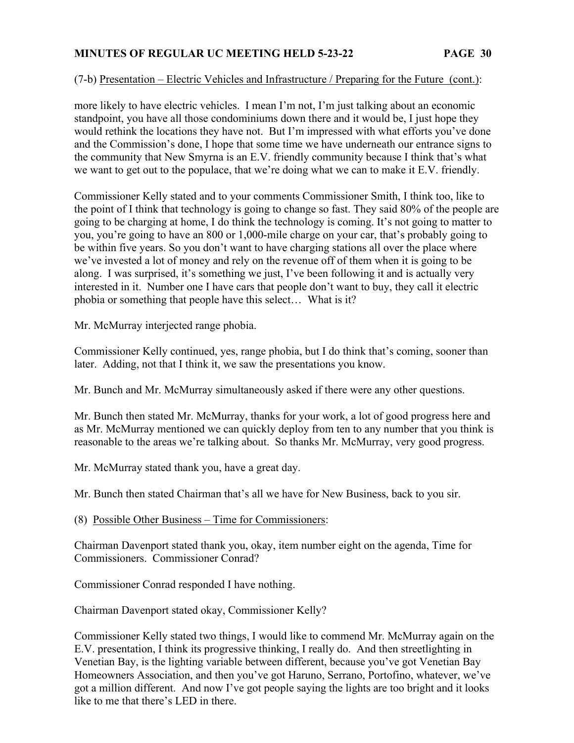## (7-b) Presentation – Electric Vehicles and Infrastructure / Preparing for the Future (cont.):

more likely to have electric vehicles. I mean I'm not, I'm just talking about an economic standpoint, you have all those condominiums down there and it would be, I just hope they would rethink the locations they have not. But I'm impressed with what efforts you've done and the Commission's done, I hope that some time we have underneath our entrance signs to the community that New Smyrna is an E.V. friendly community because I think that's what we want to get out to the populace, that we're doing what we can to make it E.V. friendly.

Commissioner Kelly stated and to your comments Commissioner Smith, I think too, like to the point of I think that technology is going to change so fast. They said 80% of the people are going to be charging at home, I do think the technology is coming. It's not going to matter to you, you're going to have an 800 or 1,000-mile charge on your car, that's probably going to be within five years. So you don't want to have charging stations all over the place where we've invested a lot of money and rely on the revenue off of them when it is going to be along. I was surprised, it's something we just, I've been following it and is actually very interested in it. Number one I have cars that people don't want to buy, they call it electric phobia or something that people have this select… What is it?

Mr. McMurray interjected range phobia.

Commissioner Kelly continued, yes, range phobia, but I do think that's coming, sooner than later. Adding, not that I think it, we saw the presentations you know.

Mr. Bunch and Mr. McMurray simultaneously asked if there were any other questions.

Mr. Bunch then stated Mr. McMurray, thanks for your work, a lot of good progress here and as Mr. McMurray mentioned we can quickly deploy from ten to any number that you think is reasonable to the areas we're talking about. So thanks Mr. McMurray, very good progress.

Mr. McMurray stated thank you, have a great day.

Mr. Bunch then stated Chairman that's all we have for New Business, back to you sir.

(8) Possible Other Business – Time for Commissioners:

Chairman Davenport stated thank you, okay, item number eight on the agenda, Time for Commissioners. Commissioner Conrad?

Commissioner Conrad responded I have nothing.

Chairman Davenport stated okay, Commissioner Kelly?

Commissioner Kelly stated two things, I would like to commend Mr. McMurray again on the E.V. presentation, I think its progressive thinking, I really do. And then streetlighting in Venetian Bay, is the lighting variable between different, because you've got Venetian Bay Homeowners Association, and then you've got Haruno, Serrano, Portofino, whatever, we've got a million different. And now I've got people saying the lights are too bright and it looks like to me that there's LED in there.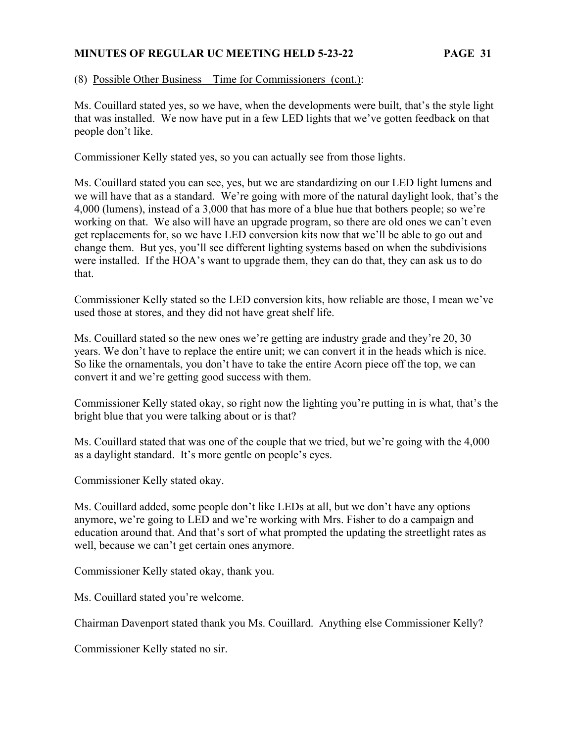(8) Possible Other Business – Time for Commissioners (cont.):

Ms. Couillard stated yes, so we have, when the developments were built, that's the style light that was installed. We now have put in a few LED lights that we've gotten feedback on that people don't like.

Commissioner Kelly stated yes, so you can actually see from those lights.

Ms. Couillard stated you can see, yes, but we are standardizing on our LED light lumens and we will have that as a standard. We're going with more of the natural daylight look, that's the 4,000 (lumens), instead of a 3,000 that has more of a blue hue that bothers people; so we're working on that. We also will have an upgrade program, so there are old ones we can't even get replacements for, so we have LED conversion kits now that we'll be able to go out and change them. But yes, you'll see different lighting systems based on when the subdivisions were installed. If the HOA's want to upgrade them, they can do that, they can ask us to do that.

Commissioner Kelly stated so the LED conversion kits, how reliable are those, I mean we've used those at stores, and they did not have great shelf life.

Ms. Couillard stated so the new ones we're getting are industry grade and they're 20, 30 years. We don't have to replace the entire unit; we can convert it in the heads which is nice. So like the ornamentals, you don't have to take the entire Acorn piece off the top, we can convert it and we're getting good success with them.

Commissioner Kelly stated okay, so right now the lighting you're putting in is what, that's the bright blue that you were talking about or is that?

Ms. Couillard stated that was one of the couple that we tried, but we're going with the 4,000 as a daylight standard. It's more gentle on people's eyes.

Commissioner Kelly stated okay.

Ms. Couillard added, some people don't like LEDs at all, but we don't have any options anymore, we're going to LED and we're working with Mrs. Fisher to do a campaign and education around that. And that's sort of what prompted the updating the streetlight rates as well, because we can't get certain ones anymore.

Commissioner Kelly stated okay, thank you.

Ms. Couillard stated you're welcome.

Chairman Davenport stated thank you Ms. Couillard. Anything else Commissioner Kelly?

Commissioner Kelly stated no sir.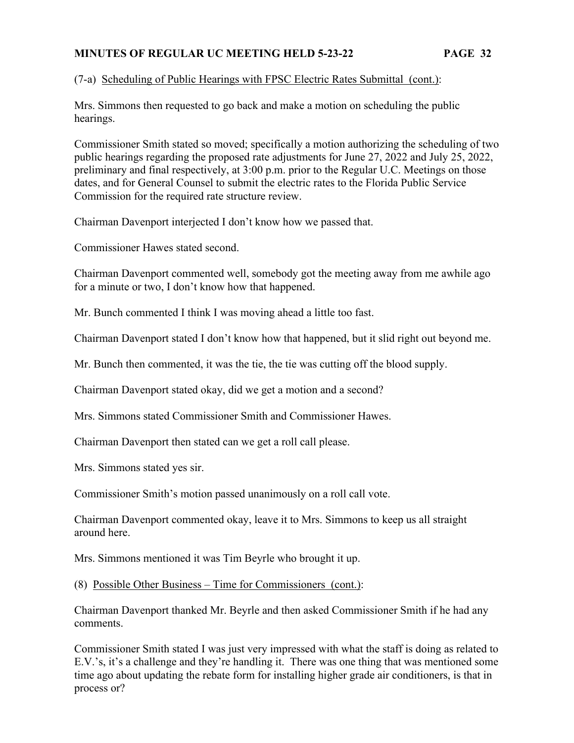## (7-a) Scheduling of Public Hearings with FPSC Electric Rates Submittal (cont.):

Mrs. Simmons then requested to go back and make a motion on scheduling the public hearings.

Commissioner Smith stated so moved; specifically a motion authorizing the scheduling of two public hearings regarding the proposed rate adjustments for June 27, 2022 and July 25, 2022, preliminary and final respectively, at 3:00 p.m. prior to the Regular U.C. Meetings on those dates, and for General Counsel to submit the electric rates to the Florida Public Service Commission for the required rate structure review.

Chairman Davenport interjected I don't know how we passed that.

Commissioner Hawes stated second.

Chairman Davenport commented well, somebody got the meeting away from me awhile ago for a minute or two, I don't know how that happened.

Mr. Bunch commented I think I was moving ahead a little too fast.

Chairman Davenport stated I don't know how that happened, but it slid right out beyond me.

Mr. Bunch then commented, it was the tie, the tie was cutting off the blood supply.

Chairman Davenport stated okay, did we get a motion and a second?

Mrs. Simmons stated Commissioner Smith and Commissioner Hawes.

Chairman Davenport then stated can we get a roll call please.

Mrs. Simmons stated yes sir.

Commissioner Smith's motion passed unanimously on a roll call vote.

Chairman Davenport commented okay, leave it to Mrs. Simmons to keep us all straight around here.

Mrs. Simmons mentioned it was Tim Beyrle who brought it up.

(8) Possible Other Business – Time for Commissioners (cont.):

Chairman Davenport thanked Mr. Beyrle and then asked Commissioner Smith if he had any comments.

Commissioner Smith stated I was just very impressed with what the staff is doing as related to E.V.'s, it's a challenge and they're handling it. There was one thing that was mentioned some time ago about updating the rebate form for installing higher grade air conditioners, is that in process or?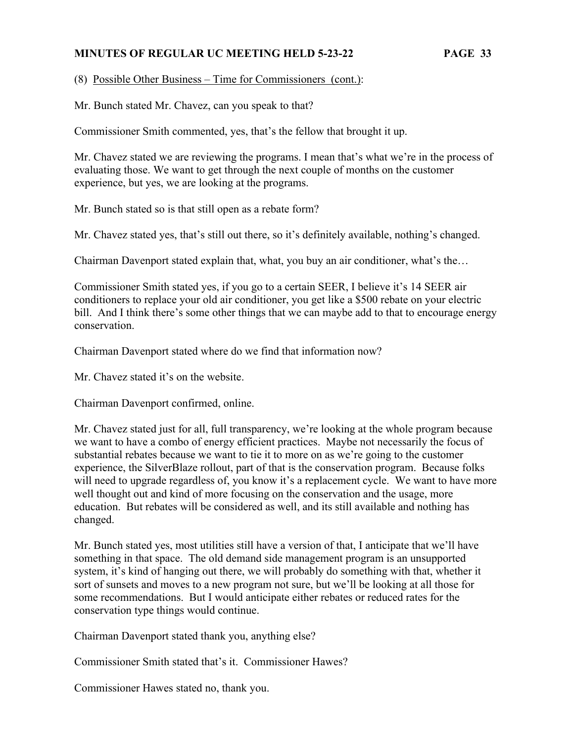(8) Possible Other Business – Time for Commissioners (cont.):

Mr. Bunch stated Mr. Chavez, can you speak to that?

Commissioner Smith commented, yes, that's the fellow that brought it up.

Mr. Chavez stated we are reviewing the programs. I mean that's what we're in the process of evaluating those. We want to get through the next couple of months on the customer experience, but yes, we are looking at the programs.

Mr. Bunch stated so is that still open as a rebate form?

Mr. Chavez stated yes, that's still out there, so it's definitely available, nothing's changed.

Chairman Davenport stated explain that, what, you buy an air conditioner, what's the…

Commissioner Smith stated yes, if you go to a certain SEER, I believe it's 14 SEER air conditioners to replace your old air conditioner, you get like a \$500 rebate on your electric bill. And I think there's some other things that we can maybe add to that to encourage energy conservation.

Chairman Davenport stated where do we find that information now?

Mr. Chavez stated it's on the website.

Chairman Davenport confirmed, online.

Mr. Chavez stated just for all, full transparency, we're looking at the whole program because we want to have a combo of energy efficient practices. Maybe not necessarily the focus of substantial rebates because we want to tie it to more on as we're going to the customer experience, the SilverBlaze rollout, part of that is the conservation program. Because folks will need to upgrade regardless of, you know it's a replacement cycle. We want to have more well thought out and kind of more focusing on the conservation and the usage, more education. But rebates will be considered as well, and its still available and nothing has changed.

Mr. Bunch stated yes, most utilities still have a version of that, I anticipate that we'll have something in that space. The old demand side management program is an unsupported system, it's kind of hanging out there, we will probably do something with that, whether it sort of sunsets and moves to a new program not sure, but we'll be looking at all those for some recommendations. But I would anticipate either rebates or reduced rates for the conservation type things would continue.

Chairman Davenport stated thank you, anything else?

Commissioner Smith stated that's it. Commissioner Hawes?

Commissioner Hawes stated no, thank you.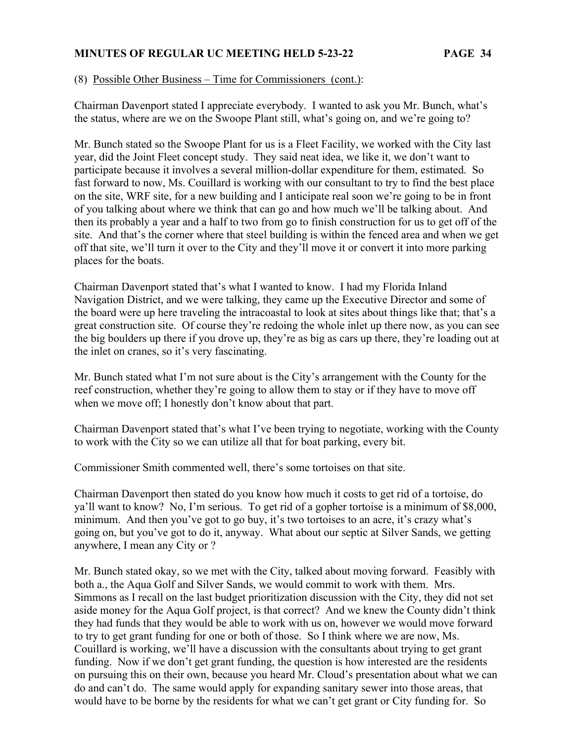#### (8) Possible Other Business – Time for Commissioners (cont.):

Chairman Davenport stated I appreciate everybody. I wanted to ask you Mr. Bunch, what's the status, where are we on the Swoope Plant still, what's going on, and we're going to?

Mr. Bunch stated so the Swoope Plant for us is a Fleet Facility, we worked with the City last year, did the Joint Fleet concept study. They said neat idea, we like it, we don't want to participate because it involves a several million-dollar expenditure for them, estimated. So fast forward to now, Ms. Couillard is working with our consultant to try to find the best place on the site, WRF site, for a new building and I anticipate real soon we're going to be in front of you talking about where we think that can go and how much we'll be talking about. And then its probably a year and a half to two from go to finish construction for us to get off of the site. And that's the corner where that steel building is within the fenced area and when we get off that site, we'll turn it over to the City and they'll move it or convert it into more parking places for the boats.

Chairman Davenport stated that's what I wanted to know. I had my Florida Inland Navigation District, and we were talking, they came up the Executive Director and some of the board were up here traveling the intracoastal to look at sites about things like that; that's a great construction site. Of course they're redoing the whole inlet up there now, as you can see the big boulders up there if you drove up, they're as big as cars up there, they're loading out at the inlet on cranes, so it's very fascinating.

Mr. Bunch stated what I'm not sure about is the City's arrangement with the County for the reef construction, whether they're going to allow them to stay or if they have to move off when we move off; I honestly don't know about that part.

Chairman Davenport stated that's what I've been trying to negotiate, working with the County to work with the City so we can utilize all that for boat parking, every bit.

Commissioner Smith commented well, there's some tortoises on that site.

Chairman Davenport then stated do you know how much it costs to get rid of a tortoise, do ya'll want to know? No, I'm serious. To get rid of a gopher tortoise is a minimum of \$8,000, minimum. And then you've got to go buy, it's two tortoises to an acre, it's crazy what's going on, but you've got to do it, anyway. What about our septic at Silver Sands, we getting anywhere, I mean any City or ?

Mr. Bunch stated okay, so we met with the City, talked about moving forward. Feasibly with both a., the Aqua Golf and Silver Sands, we would commit to work with them. Mrs. Simmons as I recall on the last budget prioritization discussion with the City, they did not set aside money for the Aqua Golf project, is that correct? And we knew the County didn't think they had funds that they would be able to work with us on, however we would move forward to try to get grant funding for one or both of those. So I think where we are now, Ms. Couillard is working, we'll have a discussion with the consultants about trying to get grant funding. Now if we don't get grant funding, the question is how interested are the residents on pursuing this on their own, because you heard Mr. Cloud's presentation about what we can do and can't do. The same would apply for expanding sanitary sewer into those areas, that would have to be borne by the residents for what we can't get grant or City funding for. So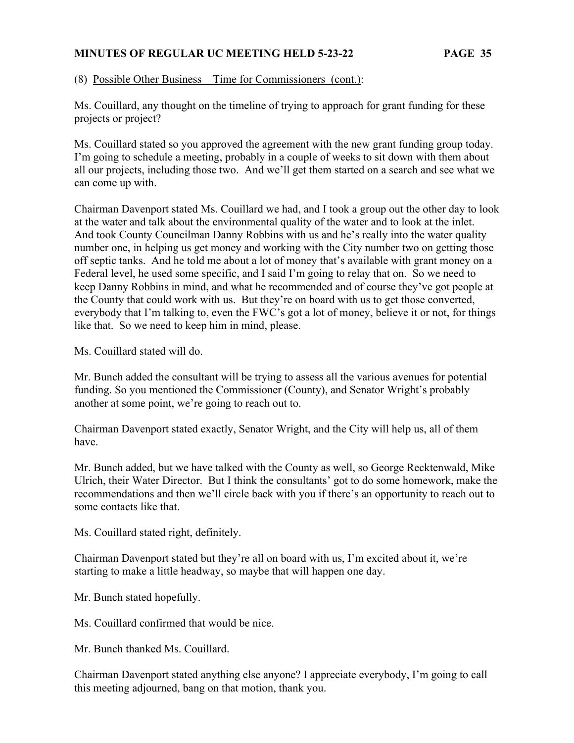(8) Possible Other Business – Time for Commissioners (cont.):

Ms. Couillard, any thought on the timeline of trying to approach for grant funding for these projects or project?

Ms. Couillard stated so you approved the agreement with the new grant funding group today. I'm going to schedule a meeting, probably in a couple of weeks to sit down with them about all our projects, including those two. And we'll get them started on a search and see what we can come up with.

Chairman Davenport stated Ms. Couillard we had, and I took a group out the other day to look at the water and talk about the environmental quality of the water and to look at the inlet. And took County Councilman Danny Robbins with us and he's really into the water quality number one, in helping us get money and working with the City number two on getting those off septic tanks. And he told me about a lot of money that's available with grant money on a Federal level, he used some specific, and I said I'm going to relay that on. So we need to keep Danny Robbins in mind, and what he recommended and of course they've got people at the County that could work with us. But they're on board with us to get those converted, everybody that I'm talking to, even the FWC's got a lot of money, believe it or not, for things like that. So we need to keep him in mind, please.

Ms. Couillard stated will do.

Mr. Bunch added the consultant will be trying to assess all the various avenues for potential funding. So you mentioned the Commissioner (County), and Senator Wright's probably another at some point, we're going to reach out to.

Chairman Davenport stated exactly, Senator Wright, and the City will help us, all of them have.

Mr. Bunch added, but we have talked with the County as well, so George Recktenwald, Mike Ulrich, their Water Director. But I think the consultants' got to do some homework, make the recommendations and then we'll circle back with you if there's an opportunity to reach out to some contacts like that.

Ms. Couillard stated right, definitely.

Chairman Davenport stated but they're all on board with us, I'm excited about it, we're starting to make a little headway, so maybe that will happen one day.

Mr. Bunch stated hopefully.

Ms. Couillard confirmed that would be nice.

Mr. Bunch thanked Ms. Couillard.

Chairman Davenport stated anything else anyone? I appreciate everybody, I'm going to call this meeting adjourned, bang on that motion, thank you.